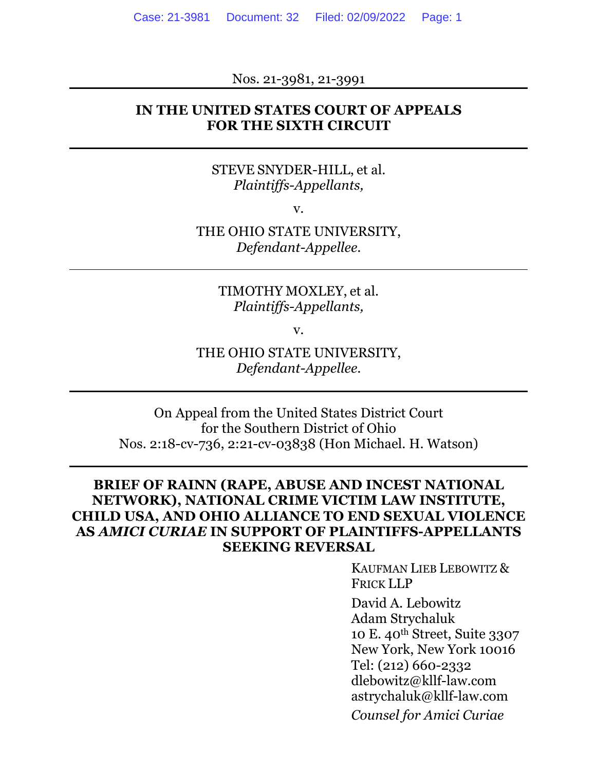Nos. 21-3981, 21-3991

#### **IN THE UNITED STATES COURT OF APPEALS FOR THE SIXTH CIRCUIT**

#### STEVE SNYDER-HILL, et al. *Plaintiffs-Appellants,*

v.

THE OHIO STATE UNIVERSITY, *Defendant-Appellee.* 

> TIMOTHY MOXLEY, et al. *Plaintiffs-Appellants,*

> > v.

THE OHIO STATE UNIVERSITY, *Defendant-Appellee.*

On Appeal from the United States District Court for the Southern District of Ohio Nos. 2:18-cv-736, 2:21-cv-03838 (Hon Michael. H. Watson)

#### **BRIEF OF RAINN (RAPE, ABUSE AND INCEST NATIONAL NETWORK), NATIONAL CRIME VICTIM LAW INSTITUTE, CHILD USA, AND OHIO ALLIANCE TO END SEXUAL VIOLENCE AS** *AMICI CURIAE* **IN SUPPORT OF PLAINTIFFS-APPELLANTS SEEKING REVERSAL**

KAUFMAN LIEB LEBOWITZ & FRICK LLP

David A. Lebowitz Adam Strychaluk 10 E. 40th Street, Suite 3307 New York, New York 10016 Tel: (212) 660-2332 dlebowitz@kllf-law.com astrychaluk@kllf-law.com *Counsel for Amici Curiae*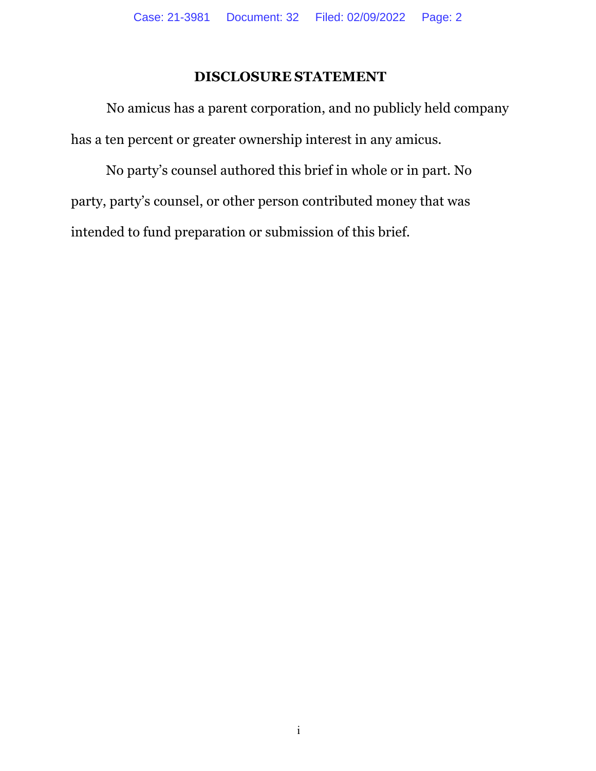## **DISCLOSURE STATEMENT**

 No amicus has a parent corporation, and no publicly held company has a ten percent or greater ownership interest in any amicus.

No party's counsel authored this brief in whole or in part. No party, party's counsel, or other person contributed money that was intended to fund preparation or submission of this brief.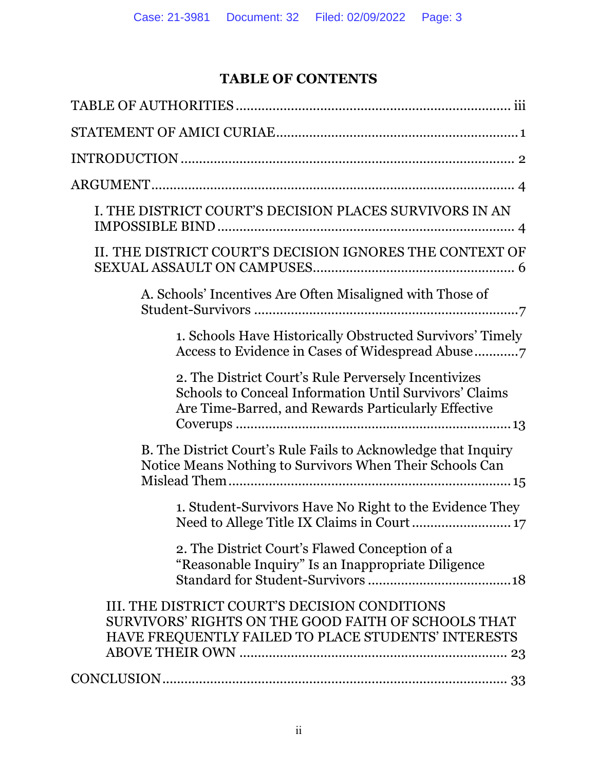# **TABLE OF CONTENTS**

| I. THE DISTRICT COURT'S DECISION PLACES SURVIVORS IN AN                                                                                                                      |
|------------------------------------------------------------------------------------------------------------------------------------------------------------------------------|
| II. THE DISTRICT COURT'S DECISION IGNORES THE CONTEXT OF                                                                                                                     |
| A. Schools' Incentives Are Often Misaligned with Those of                                                                                                                    |
| 1. Schools Have Historically Obstructed Survivors' Timely                                                                                                                    |
| 2. The District Court's Rule Perversely Incentivizes<br><b>Schools to Conceal Information Until Survivors' Claims</b><br>Are Time-Barred, and Rewards Particularly Effective |
| B. The District Court's Rule Fails to Acknowledge that Inquiry<br>Notice Means Nothing to Survivors When Their Schools Can                                                   |
| 1. Student-Survivors Have No Right to the Evidence They                                                                                                                      |
| 2. The District Court's Flawed Conception of a<br>"Reasonable Inquiry" Is an Inappropriate Diligence                                                                         |
| III. THE DISTRICT COURT'S DECISION CONDITIONS<br>SURVIVORS' RIGHTS ON THE GOOD FAITH OF SCHOOLS THAT<br>HAVE FREQUENTLY FAILED TO PLACE STUDENTS' INTERESTS                  |
|                                                                                                                                                                              |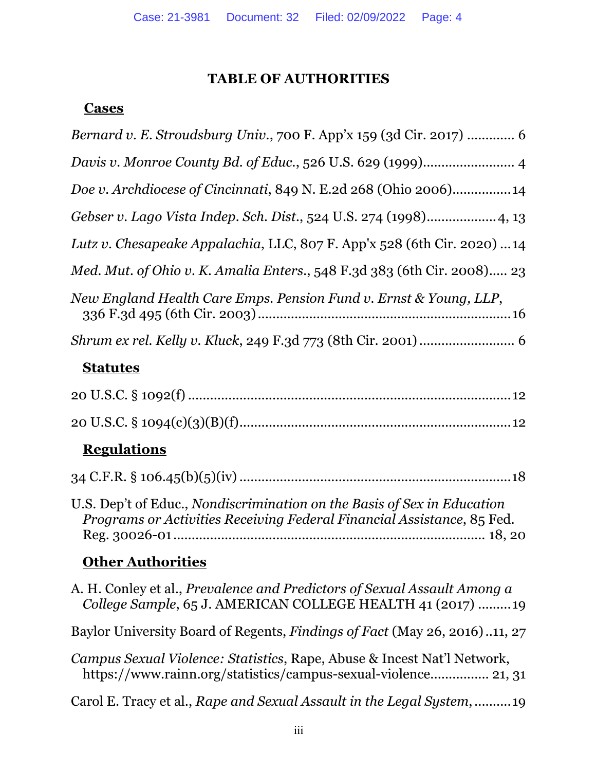# **TABLE OF AUTHORITIES**

# **Cases**

| Bernard v. E. Stroudsburg Univ., 700 F. App'x 159 (3d Cir. 2017)  6                                                                               |
|---------------------------------------------------------------------------------------------------------------------------------------------------|
| Davis v. Monroe County Bd. of Educ., 526 U.S. 629 (1999) 4                                                                                        |
| Doe v. Archdiocese of Cincinnati, 849 N. E. 2d 268 (Ohio 2006) 14                                                                                 |
| Gebser v. Lago Vista Indep. Sch. Dist., 524 U.S. 274 (1998) 4, 13                                                                                 |
| Lutz v. Chesapeake Appalachia, LLC, 807 F. App'x 528 (6th Cir. 2020)  14                                                                          |
| Med. Mut. of Ohio v. K. Amalia Enters., 548 F.3d 383 (6th Cir. 2008) 23                                                                           |
| New England Health Care Emps. Pension Fund v. Ernst & Young, LLP,                                                                                 |
|                                                                                                                                                   |
| <b>Statutes</b>                                                                                                                                   |
|                                                                                                                                                   |
|                                                                                                                                                   |
| <b>Regulations</b>                                                                                                                                |
|                                                                                                                                                   |
| U.S. Dep't of Educ., Nondiscrimination on the Basis of Sex in Education<br>Programs or Activities Receiving Federal Financial Assistance, 85 Fed. |
| <b>Other Authorities</b>                                                                                                                          |
| A. H. Conley et al., <i>Prevalence and Predictors of Sexual Assault Among a</i><br>College Sample, 65 J. AMERICAN COLLEGE HEALTH 41 (2017) 19     |
| Baylor University Board of Regents, Findings of Fact (May 26, 2016)11, 27                                                                         |
| Campus Sexual Violence: Statistics, Rape, Abuse & Incest Nat'l Network,<br>https://www.rainn.org/statistics/campus-sexual-violence 21, 31         |
| Carol E. Tracy et al., Rape and Sexual Assault in the Legal System, 19                                                                            |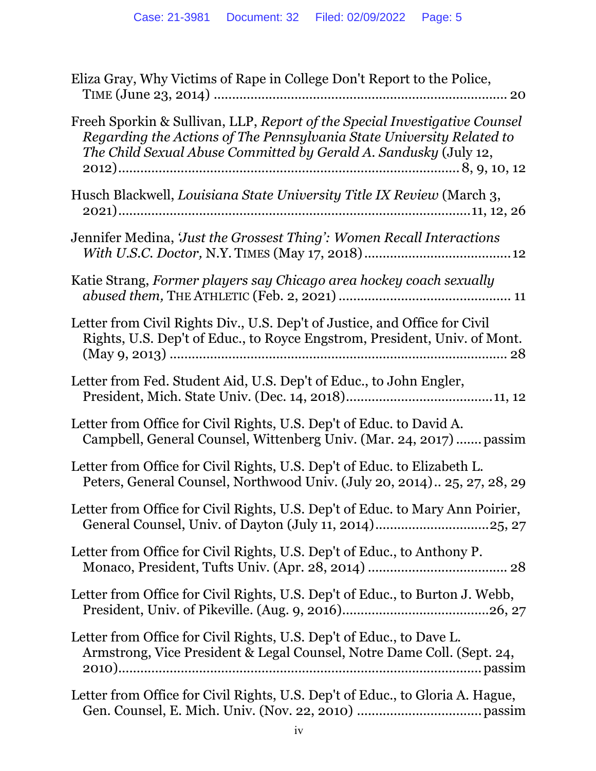| Eliza Gray, Why Victims of Rape in College Don't Report to the Police,                                                                                                                                                  |
|-------------------------------------------------------------------------------------------------------------------------------------------------------------------------------------------------------------------------|
| Freeh Sporkin & Sullivan, LLP, Report of the Special Investigative Counsel<br>Regarding the Actions of The Pennsylvania State University Related to<br>The Child Sexual Abuse Committed by Gerald A. Sandusky (July 12, |
| Husch Blackwell, Louisiana State University Title IX Review (March 3,                                                                                                                                                   |
| Jennifer Medina, 'Just the Grossest Thing': Women Recall Interactions                                                                                                                                                   |
| Katie Strang, Former players say Chicago area hockey coach sexually                                                                                                                                                     |
| Letter from Civil Rights Div., U.S. Dep't of Justice, and Office for Civil<br>Rights, U.S. Dep't of Educ., to Royce Engstrom, President, Univ. of Mont.<br>28                                                           |
| Letter from Fed. Student Aid, U.S. Dep't of Educ., to John Engler,                                                                                                                                                      |
| Letter from Office for Civil Rights, U.S. Dep't of Educ. to David A.<br>Campbell, General Counsel, Wittenberg Univ. (Mar. 24, 2017)  passim                                                                             |
| Letter from Office for Civil Rights, U.S. Dep't of Educ. to Elizabeth L.<br>Peters, General Counsel, Northwood Univ. (July 20, 2014) 25, 27, 28, 29                                                                     |
| Letter from Office for Civil Rights, U.S. Dep't of Educ. to Mary Ann Poirier,                                                                                                                                           |
| Letter from Office for Civil Rights, U.S. Dep't of Educ., to Anthony P.                                                                                                                                                 |
| Letter from Office for Civil Rights, U.S. Dep't of Educ., to Burton J. Webb,                                                                                                                                            |
| Letter from Office for Civil Rights, U.S. Dep't of Educ., to Dave L.<br>Armstrong, Vice President & Legal Counsel, Notre Dame Coll. (Sept. 24,                                                                          |
| Letter from Office for Civil Rights, U.S. Dep't of Educ., to Gloria A. Hague,                                                                                                                                           |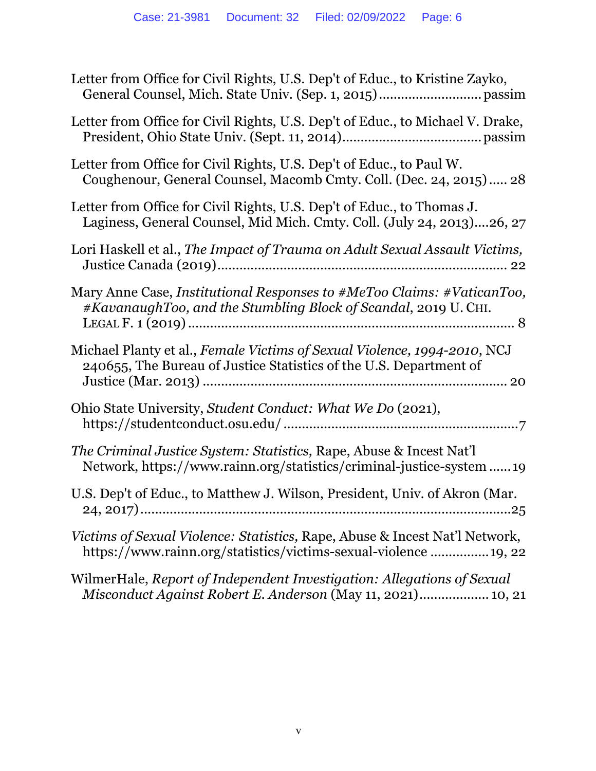| Letter from Office for Civil Rights, U.S. Dep't of Educ., to Kristine Zayko,                                                                     |
|--------------------------------------------------------------------------------------------------------------------------------------------------|
| Letter from Office for Civil Rights, U.S. Dep't of Educ., to Michael V. Drake,                                                                   |
| Letter from Office for Civil Rights, U.S. Dep't of Educ., to Paul W.<br>Coughenour, General Counsel, Macomb Cmty. Coll. (Dec. 24, 2015) 28       |
| Letter from Office for Civil Rights, U.S. Dep't of Educ., to Thomas J.<br>Laginess, General Counsel, Mid Mich. Cmty. Coll. (July 24, 2013)26, 27 |
| Lori Haskell et al., The Impact of Trauma on Adult Sexual Assault Victims,                                                                       |
| Mary Anne Case, Institutional Responses to #MeToo Claims: #VaticanToo,<br>#KavanaughToo, and the Stumbling Block of Scandal, 2019 U. CHI.        |
| Michael Planty et al., Female Victims of Sexual Violence, 1994-2010, NCJ<br>240655, The Bureau of Justice Statistics of the U.S. Department of   |
| Ohio State University, Student Conduct: What We Do (2021),                                                                                       |
| The Criminal Justice System: Statistics, Rape, Abuse & Incest Nat'l<br>Network, https://www.rainn.org/statistics/criminal-justice-system 19      |
| U.S. Dep't of Educ., to Matthew J. Wilson, President, Univ. of Akron (Mar.                                                                       |
| Victims of Sexual Violence: Statistics, Rape, Abuse & Incest Nat'l Network,<br>https://www.rainn.org/statistics/victims-sexual-violence  19, 22  |
| WilmerHale, Report of Independent Investigation: Allegations of Sexual<br>Misconduct Against Robert E. Anderson (May 11, 2021) 10, 21            |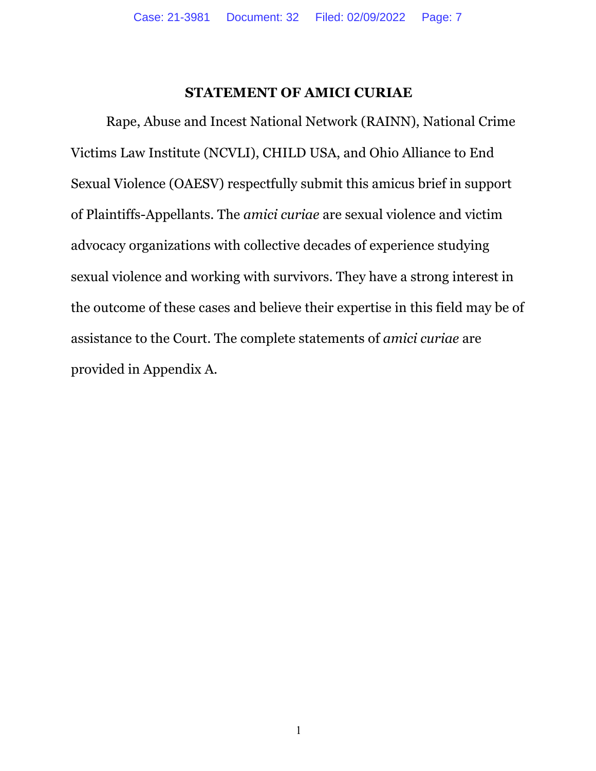#### **STATEMENT OF AMICI CURIAE**

Rape, Abuse and Incest National Network (RAINN), National Crime Victims Law Institute (NCVLI), CHILD USA, and Ohio Alliance to End Sexual Violence (OAESV) respectfully submit this amicus brief in support of Plaintiffs-Appellants. The *amici curiae* are sexual violence and victim advocacy organizations with collective decades of experience studying sexual violence and working with survivors. They have a strong interest in the outcome of these cases and believe their expertise in this field may be of assistance to the Court. The complete statements of *amici curiae* are provided in Appendix A.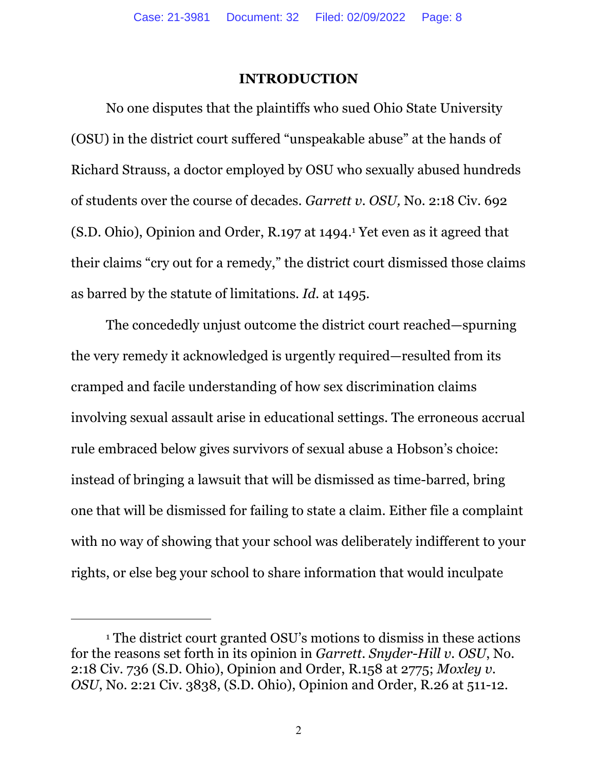#### **INTRODUCTION**

No one disputes that the plaintiffs who sued Ohio State University (OSU) in the district court suffered "unspeakable abuse" at the hands of Richard Strauss, a doctor employed by OSU who sexually abused hundreds of students over the course of decades. *Garrett v. OSU,* No. 2:18 Civ. 692 (S.D. Ohio), Opinion and Order, R.197 at 1494.1 Yet even as it agreed that their claims "cry out for a remedy," the district court dismissed those claims as barred by the statute of limitations. *Id.* at 1495.

The concededly unjust outcome the district court reached—spurning the very remedy it acknowledged is urgently required—resulted from its cramped and facile understanding of how sex discrimination claims involving sexual assault arise in educational settings. The erroneous accrual rule embraced below gives survivors of sexual abuse a Hobson's choice: instead of bringing a lawsuit that will be dismissed as time-barred, bring one that will be dismissed for failing to state a claim. Either file a complaint with no way of showing that your school was deliberately indifferent to your rights, or else beg your school to share information that would inculpate

<sup>1</sup> The district court granted OSU's motions to dismiss in these actions for the reasons set forth in its opinion in *Garrett*. *Snyder-Hill v. OSU*, No. 2:18 Civ. 736 (S.D. Ohio), Opinion and Order, R.158 at 2775; *Moxley v. OSU*, No. 2:21 Civ. 3838, (S.D. Ohio), Opinion and Order, R.26 at 511-12.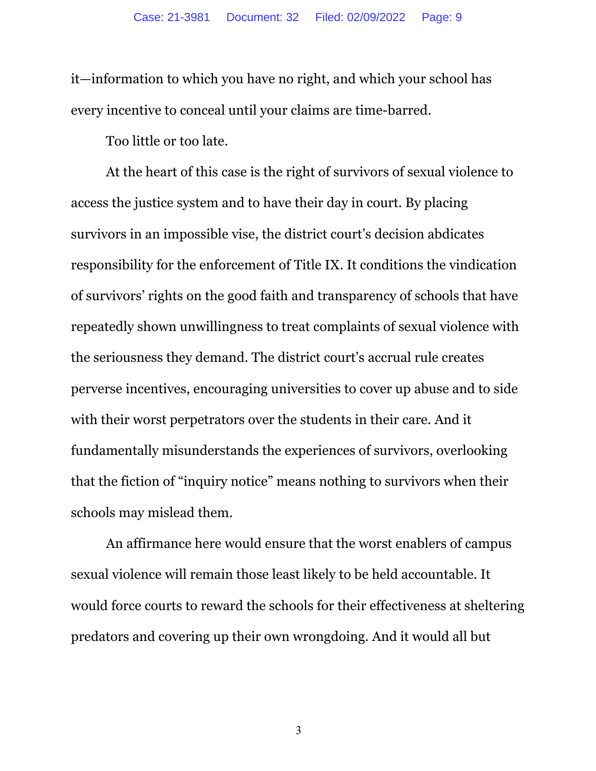it—information to which you have no right, and which your school has every incentive to conceal until your claims are time-barred.

Too little or too late.

At the heart of this case is the right of survivors of sexual violence to access the justice system and to have their day in court. By placing survivors in an impossible vise, the district court's decision abdicates responsibility for the enforcement of Title IX. It conditions the vindication of survivors' rights on the good faith and transparency of schools that have repeatedly shown unwillingness to treat complaints of sexual violence with the seriousness they demand. The district court's accrual rule creates perverse incentives, encouraging universities to cover up abuse and to side with their worst perpetrators over the students in their care. And it fundamentally misunderstands the experiences of survivors, overlooking that the fiction of "inquiry notice" means nothing to survivors when their schools may mislead them.

An affirmance here would ensure that the worst enablers of campus sexual violence will remain those least likely to be held accountable. It would force courts to reward the schools for their effectiveness at sheltering predators and covering up their own wrongdoing. And it would all but

3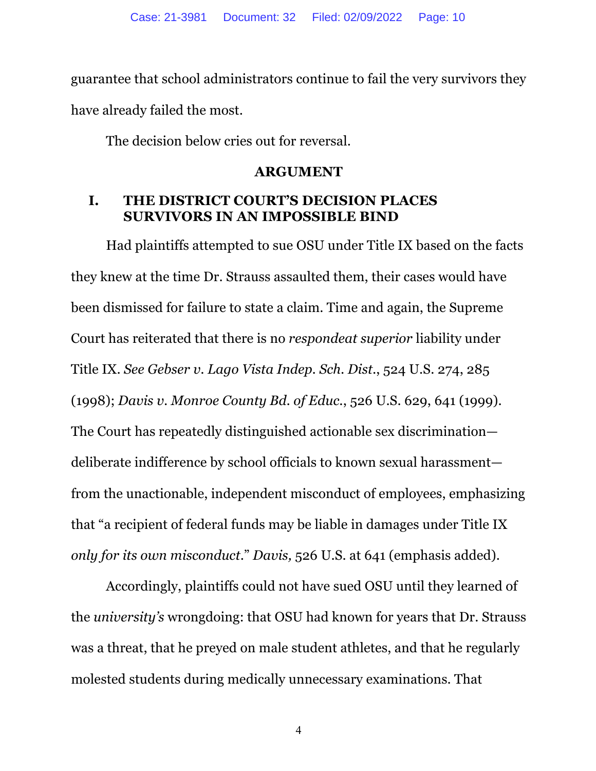guarantee that school administrators continue to fail the very survivors they have already failed the most.

The decision below cries out for reversal.

#### **ARGUMENT**

## **I. THE DISTRICT COURT'S DECISION PLACES SURVIVORS IN AN IMPOSSIBLE BIND**

Had plaintiffs attempted to sue OSU under Title IX based on the facts they knew at the time Dr. Strauss assaulted them, their cases would have been dismissed for failure to state a claim. Time and again, the Supreme Court has reiterated that there is no *respondeat superior* liability under Title IX. *See Gebser v. Lago Vista Indep. Sch. Dist.*, 524 U.S. 274, 285 (1998); *Davis v. Monroe County Bd. of Educ.*, 526 U.S. 629, 641 (1999). The Court has repeatedly distinguished actionable sex discrimination deliberate indifference by school officials to known sexual harassment from the unactionable, independent misconduct of employees, emphasizing that "a recipient of federal funds may be liable in damages under Title IX *only for its own misconduct*." *Davis,* 526 U.S. at 641 (emphasis added).

Accordingly, plaintiffs could not have sued OSU until they learned of the *university's* wrongdoing: that OSU had known for years that Dr. Strauss was a threat, that he preyed on male student athletes, and that he regularly molested students during medically unnecessary examinations. That

4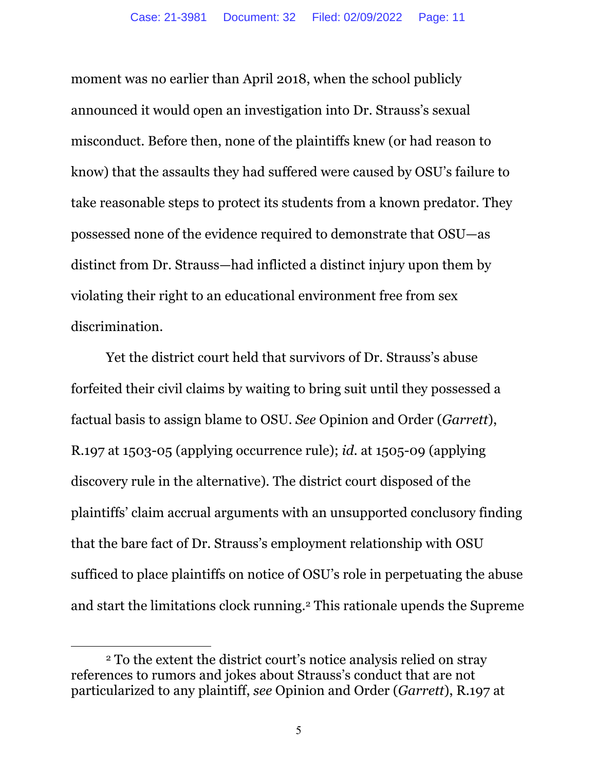moment was no earlier than April 2018, when the school publicly announced it would open an investigation into Dr. Strauss's sexual misconduct. Before then, none of the plaintiffs knew (or had reason to know) that the assaults they had suffered were caused by OSU's failure to take reasonable steps to protect its students from a known predator. They possessed none of the evidence required to demonstrate that OSU—as distinct from Dr. Strauss—had inflicted a distinct injury upon them by violating their right to an educational environment free from sex discrimination.

Yet the district court held that survivors of Dr. Strauss's abuse forfeited their civil claims by waiting to bring suit until they possessed a factual basis to assign blame to OSU. *See* Opinion and Order (*Garrett*), R.197 at 1503-05 (applying occurrence rule); *id.* at 1505-09 (applying discovery rule in the alternative). The district court disposed of the plaintiffs' claim accrual arguments with an unsupported conclusory finding that the bare fact of Dr. Strauss's employment relationship with OSU sufficed to place plaintiffs on notice of OSU's role in perpetuating the abuse and start the limitations clock running.2 This rationale upends the Supreme

<sup>2</sup> To the extent the district court's notice analysis relied on stray references to rumors and jokes about Strauss's conduct that are not particularized to any plaintiff, *see* Opinion and Order (*Garrett*), R.197 at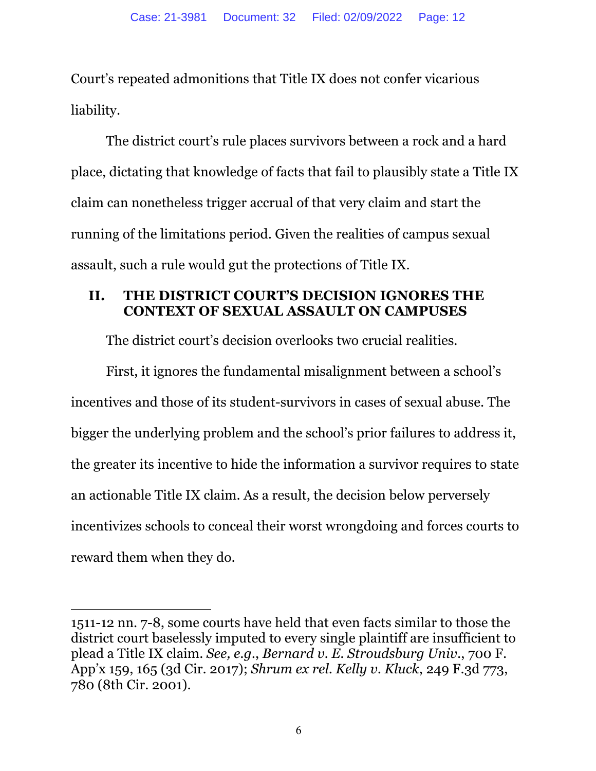Court's repeated admonitions that Title IX does not confer vicarious liability.

The district court's rule places survivors between a rock and a hard place, dictating that knowledge of facts that fail to plausibly state a Title IX claim can nonetheless trigger accrual of that very claim and start the running of the limitations period. Given the realities of campus sexual assault, such a rule would gut the protections of Title IX.

# **II. THE DISTRICT COURT'S DECISION IGNORES THE CONTEXT OF SEXUAL ASSAULT ON CAMPUSES**

The district court's decision overlooks two crucial realities.

First, it ignores the fundamental misalignment between a school's incentives and those of its student-survivors in cases of sexual abuse. The bigger the underlying problem and the school's prior failures to address it, the greater its incentive to hide the information a survivor requires to state an actionable Title IX claim. As a result, the decision below perversely incentivizes schools to conceal their worst wrongdoing and forces courts to reward them when they do.

<sup>1511-12</sup> nn. 7-8, some courts have held that even facts similar to those the district court baselessly imputed to every single plaintiff are insufficient to plead a Title IX claim. *See, e.g.*, *Bernard v. E. Stroudsburg Univ.*, 700 F. App'x 159, 165 (3d Cir. 2017); *Shrum ex rel. Kelly v. Kluck*, 249 F.3d 773, 780 (8th Cir. 2001).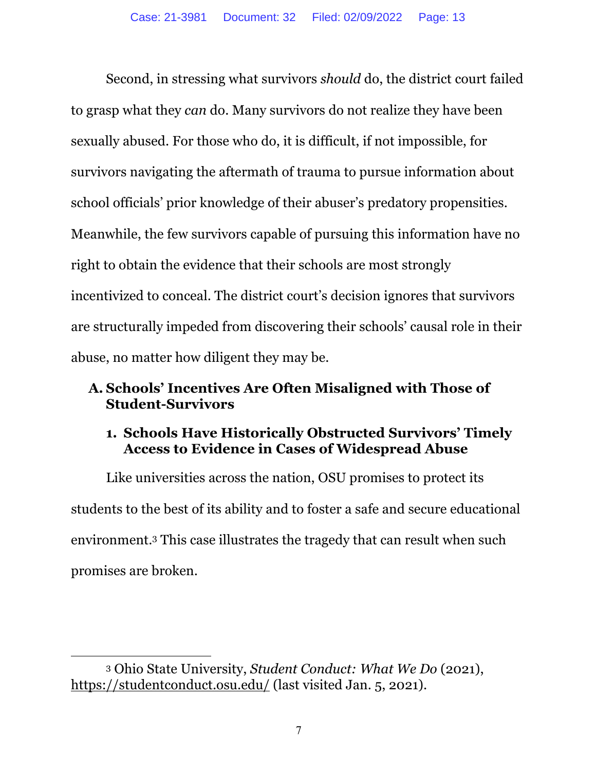Second, in stressing what survivors *should* do, the district court failed to grasp what they *can* do. Many survivors do not realize they have been sexually abused. For those who do, it is difficult, if not impossible, for survivors navigating the aftermath of trauma to pursue information about school officials' prior knowledge of their abuser's predatory propensities. Meanwhile, the few survivors capable of pursuing this information have no right to obtain the evidence that their schools are most strongly incentivized to conceal. The district court's decision ignores that survivors are structurally impeded from discovering their schools' causal role in their abuse, no matter how diligent they may be.

# **A. Schools' Incentives Are Often Misaligned with Those of Student-Survivors**

# **1. Schools Have Historically Obstructed Survivors' Timely Access to Evidence in Cases of Widespread Abuse**

Like universities across the nation, OSU promises to protect its students to the best of its ability and to foster a safe and secure educational environment.3 This case illustrates the tragedy that can result when such promises are broken.

<sup>3</sup> Ohio State University, *Student Conduct: What We Do* (2021), https://studentconduct.osu.edu/ (last visited Jan. 5, 2021).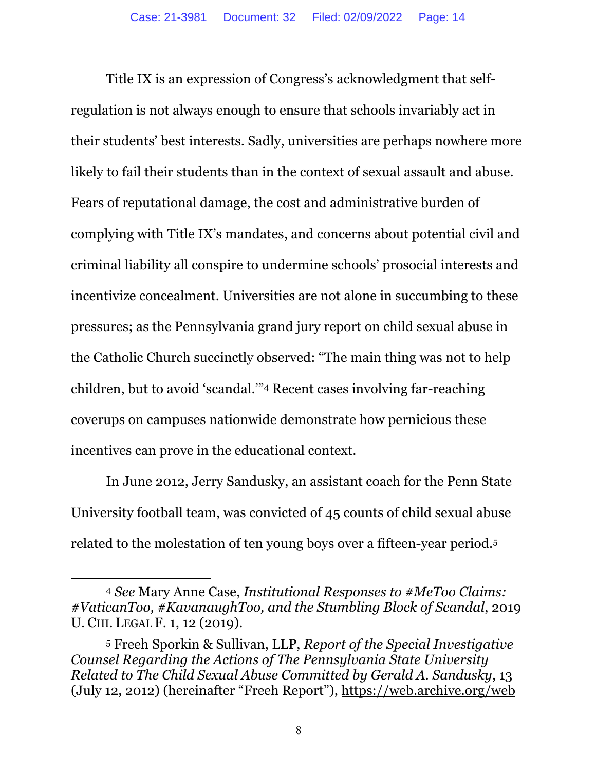Title IX is an expression of Congress's acknowledgment that selfregulation is not always enough to ensure that schools invariably act in their students' best interests. Sadly, universities are perhaps nowhere more likely to fail their students than in the context of sexual assault and abuse. Fears of reputational damage, the cost and administrative burden of complying with Title IX's mandates, and concerns about potential civil and criminal liability all conspire to undermine schools' prosocial interests and incentivize concealment. Universities are not alone in succumbing to these pressures; as the Pennsylvania grand jury report on child sexual abuse in the Catholic Church succinctly observed: "The main thing was not to help children, but to avoid 'scandal.'"4 Recent cases involving far-reaching coverups on campuses nationwide demonstrate how pernicious these incentives can prove in the educational context.

In June 2012, Jerry Sandusky, an assistant coach for the Penn State University football team, was convicted of 45 counts of child sexual abuse related to the molestation of ten young boys over a fifteen-year period.5

<sup>4</sup> *See* Mary Anne Case, *Institutional Responses to #MeToo Claims: #VaticanToo, #KavanaughToo, and the Stumbling Block of Scandal*, 2019 U. CHI. LEGAL F. 1, 12 (2019).

<sup>5</sup> Freeh Sporkin & Sullivan, LLP, *Report of the Special Investigative Counsel Regarding the Actions of The Pennsylvania State University Related to The Child Sexual Abuse Committed by Gerald A. Sandusky*, 13 (July 12, 2012) (hereinafter "Freeh Report"), https://web.archive.org/web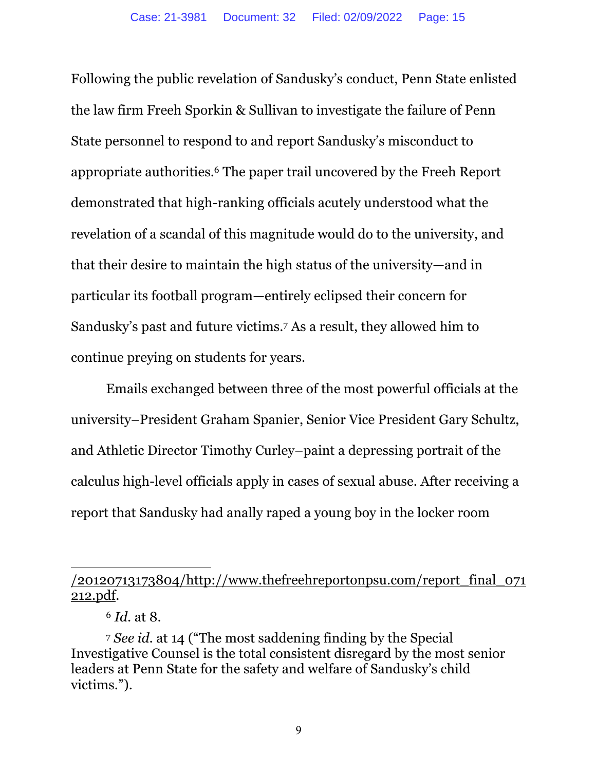Following the public revelation of Sandusky's conduct, Penn State enlisted the law firm Freeh Sporkin & Sullivan to investigate the failure of Penn State personnel to respond to and report Sandusky's misconduct to appropriate authorities.6 The paper trail uncovered by the Freeh Report demonstrated that high-ranking officials acutely understood what the revelation of a scandal of this magnitude would do to the university, and that their desire to maintain the high status of the university—and in particular its football program—entirely eclipsed their concern for Sandusky's past and future victims.7 As a result, they allowed him to continue preying on students for years.

Emails exchanged between three of the most powerful officials at the university–President Graham Spanier, Senior Vice President Gary Schultz, and Athletic Director Timothy Curley–paint a depressing portrait of the calculus high-level officials apply in cases of sexual abuse. After receiving a report that Sandusky had anally raped a young boy in the locker room

<sup>/20120713173804/</sup>http://www.thefreehreportonpsu.com/report\_final\_071 212.pdf.

<sup>6</sup> *Id.* at 8.

<sup>7</sup> *See id.* at 14 ("The most saddening finding by the Special Investigative Counsel is the total consistent disregard by the most senior leaders at Penn State for the safety and welfare of Sandusky's child victims.").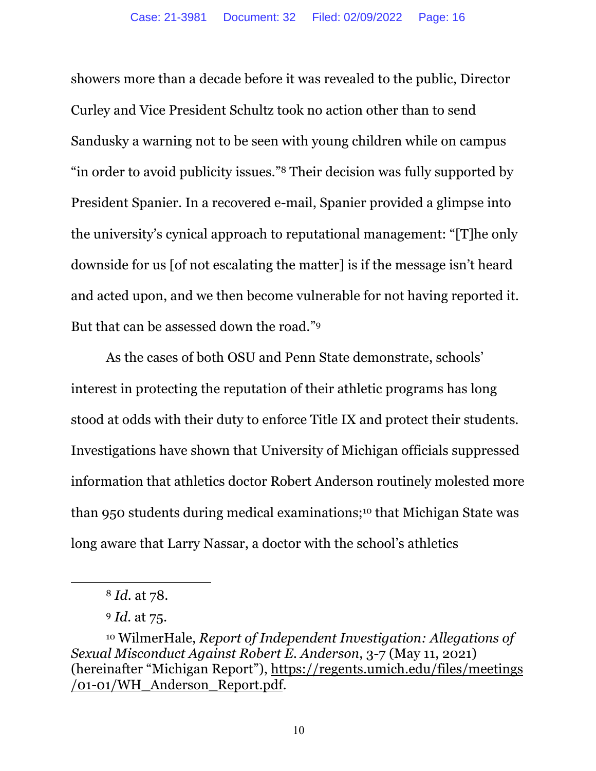showers more than a decade before it was revealed to the public, Director Curley and Vice President Schultz took no action other than to send Sandusky a warning not to be seen with young children while on campus "in order to avoid publicity issues."8 Their decision was fully supported by President Spanier. In a recovered e-mail, Spanier provided a glimpse into the university's cynical approach to reputational management: "[T]he only downside for us [of not escalating the matter] is if the message isn't heard and acted upon, and we then become vulnerable for not having reported it. But that can be assessed down the road."9

As the cases of both OSU and Penn State demonstrate, schools' interest in protecting the reputation of their athletic programs has long stood at odds with their duty to enforce Title IX and protect their students. Investigations have shown that University of Michigan officials suppressed information that athletics doctor Robert Anderson routinely molested more than 950 students during medical examinations;10 that Michigan State was long aware that Larry Nassar, a doctor with the school's athletics

<sup>8</sup> *Id.* at 78.

<sup>9</sup> *Id.* at 75.

<sup>10</sup> WilmerHale, *Report of Independent Investigation: Allegations of Sexual Misconduct Against Robert E. Anderson*, 3-7 (May 11, 2021) (hereinafter "Michigan Report"), https://regents.umich.edu/files/meetings /01-01/WH\_Anderson\_Report.pdf.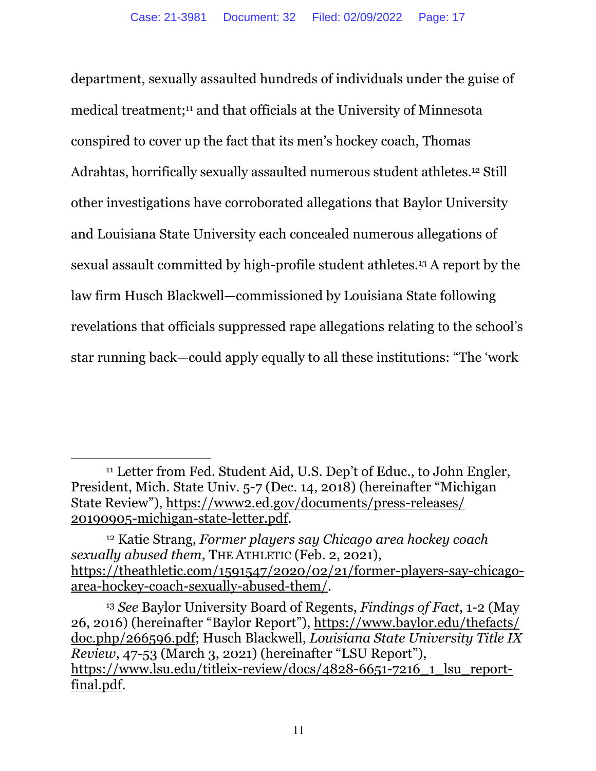department, sexually assaulted hundreds of individuals under the guise of medical treatment;11 and that officials at the University of Minnesota conspired to cover up the fact that its men's hockey coach, Thomas Adrahtas, horrifically sexually assaulted numerous student athletes.<sup>12</sup> Still other investigations have corroborated allegations that Baylor University and Louisiana State University each concealed numerous allegations of sexual assault committed by high-profile student athletes.13 A report by the law firm Husch Blackwell—commissioned by Louisiana State following revelations that officials suppressed rape allegations relating to the school's star running back—could apply equally to all these institutions: "The 'work

<sup>&</sup>lt;sup>11</sup> Letter from Fed. Student Aid, U.S. Dep't of Educ., to John Engler, President, Mich. State Univ. 5-7 (Dec. 14, 2018) (hereinafter "Michigan State Review"), https://www2.ed.gov/documents/press-releases/ 20190905-michigan-state-letter.pdf.

<sup>12</sup> Katie Strang, *Former players say Chicago area hockey coach sexually abused them,* THE ATHLETIC (Feb. 2, 2021), https://theathletic.com/1591547/2020/02/21/former-players-say-chicagoarea-hockey-coach-sexually-abused-them/.

<sup>13</sup> *See* Baylor University Board of Regents, *Findings of Fact*, 1-2 (May 26, 2016) (hereinafter "Baylor Report"), https://www.baylor.edu/thefacts/ doc.php/266596.pdf; Husch Blackwell, *Louisiana State University Title IX Review*, 47-53 (March 3, 2021) (hereinafter "LSU Report"), https://www.lsu.edu/titleix-review/docs/4828-6651-7216\_1\_lsu\_reportfinal.pdf.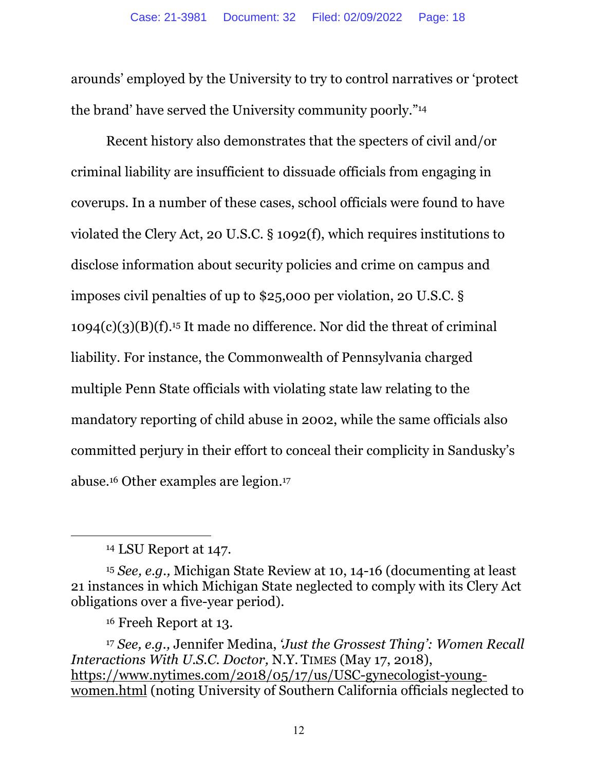arounds' employed by the University to try to control narratives or 'protect the brand' have served the University community poorly."14

Recent history also demonstrates that the specters of civil and/or criminal liability are insufficient to dissuade officials from engaging in coverups. In a number of these cases, school officials were found to have violated the Clery Act, 20 U.S.C. § 1092(f), which requires institutions to disclose information about security policies and crime on campus and imposes civil penalties of up to \$25,000 per violation, 20 U.S.C. §  $1094(c)(3)(B)(f).$ <sup>15</sup> It made no difference. Nor did the threat of criminal liability. For instance, the Commonwealth of Pennsylvania charged multiple Penn State officials with violating state law relating to the mandatory reporting of child abuse in 2002, while the same officials also committed perjury in their effort to conceal their complicity in Sandusky's abuse.16 Other examples are legion.17

<sup>14</sup> LSU Report at 147.

<sup>15</sup> *See, e.g.,* Michigan State Review at 10, 14-16 (documenting at least 21 instances in which Michigan State neglected to comply with its Clery Act obligations over a five-year period).

<sup>16</sup> Freeh Report at 13.

<sup>17</sup> *See, e.g.,* Jennifer Medina, *'Just the Grossest Thing': Women Recall Interactions With U.S.C. Doctor,* N.Y. TIMES (May 17, 2018), https://www.nytimes.com/2018/05/17/us/USC-gynecologist-youngwomen.html (noting University of Southern California officials neglected to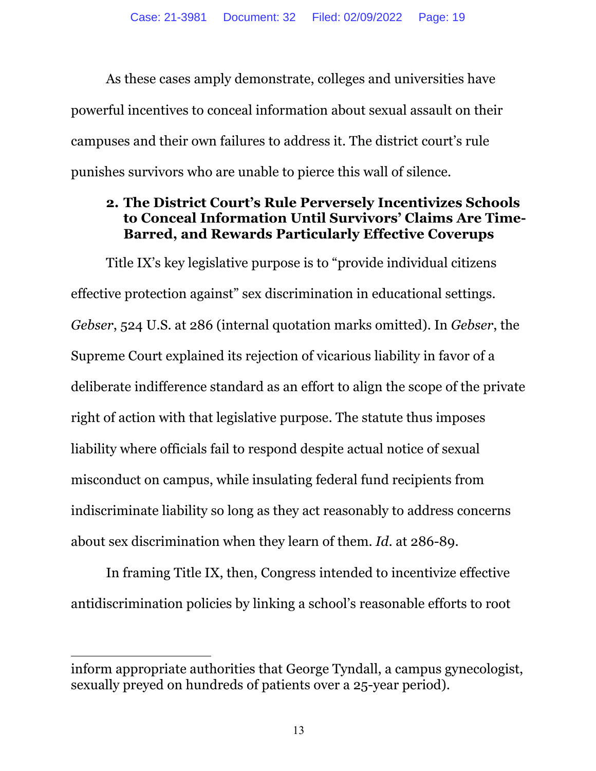As these cases amply demonstrate, colleges and universities have powerful incentives to conceal information about sexual assault on their campuses and their own failures to address it. The district court's rule punishes survivors who are unable to pierce this wall of silence.

## **2. The District Court's Rule Perversely Incentivizes Schools to Conceal Information Until Survivors' Claims Are Time-Barred, and Rewards Particularly Effective Coverups**

Title IX's key legislative purpose is to "provide individual citizens effective protection against" sex discrimination in educational settings. *Gebser*, 524 U.S. at 286 (internal quotation marks omitted). In *Gebser*, the Supreme Court explained its rejection of vicarious liability in favor of a deliberate indifference standard as an effort to align the scope of the private right of action with that legislative purpose. The statute thus imposes liability where officials fail to respond despite actual notice of sexual misconduct on campus, while insulating federal fund recipients from indiscriminate liability so long as they act reasonably to address concerns about sex discrimination when they learn of them. *Id.* at 286-89.

In framing Title IX, then, Congress intended to incentivize effective antidiscrimination policies by linking a school's reasonable efforts to root

inform appropriate authorities that George Tyndall, a campus gynecologist, sexually preyed on hundreds of patients over a 25-year period).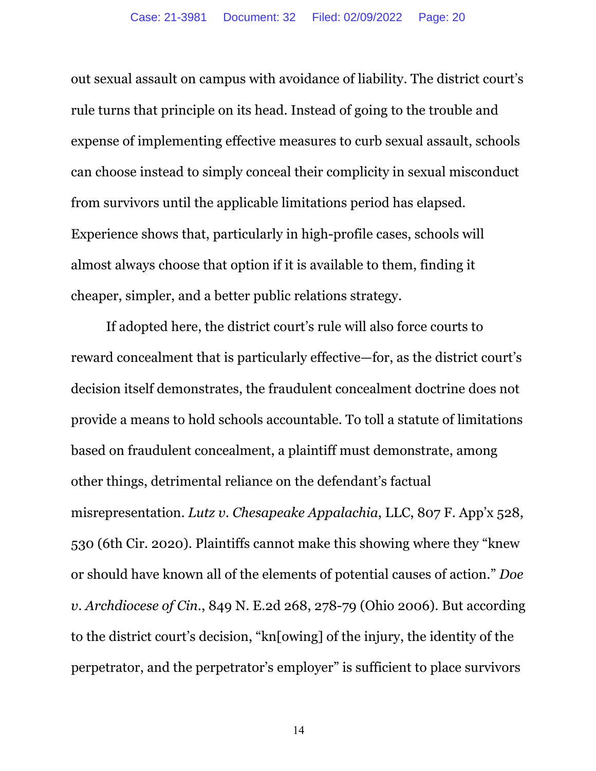out sexual assault on campus with avoidance of liability. The district court's rule turns that principle on its head. Instead of going to the trouble and expense of implementing effective measures to curb sexual assault, schools can choose instead to simply conceal their complicity in sexual misconduct from survivors until the applicable limitations period has elapsed. Experience shows that, particularly in high-profile cases, schools will almost always choose that option if it is available to them, finding it cheaper, simpler, and a better public relations strategy.

If adopted here, the district court's rule will also force courts to reward concealment that is particularly effective—for, as the district court's decision itself demonstrates, the fraudulent concealment doctrine does not provide a means to hold schools accountable. To toll a statute of limitations based on fraudulent concealment, a plaintiff must demonstrate, among other things, detrimental reliance on the defendant's factual misrepresentation. *Lutz v. Chesapeake Appalachia*, LLC, 807 F. App'x 528, 530 (6th Cir. 2020). Plaintiffs cannot make this showing where they "knew or should have known all of the elements of potential causes of action." *Doe v. Archdiocese of Cin.*, 849 N. E.2d 268, 278-79 (Ohio 2006). But according to the district court's decision, "kn[owing] of the injury, the identity of the perpetrator, and the perpetrator's employer" is sufficient to place survivors

14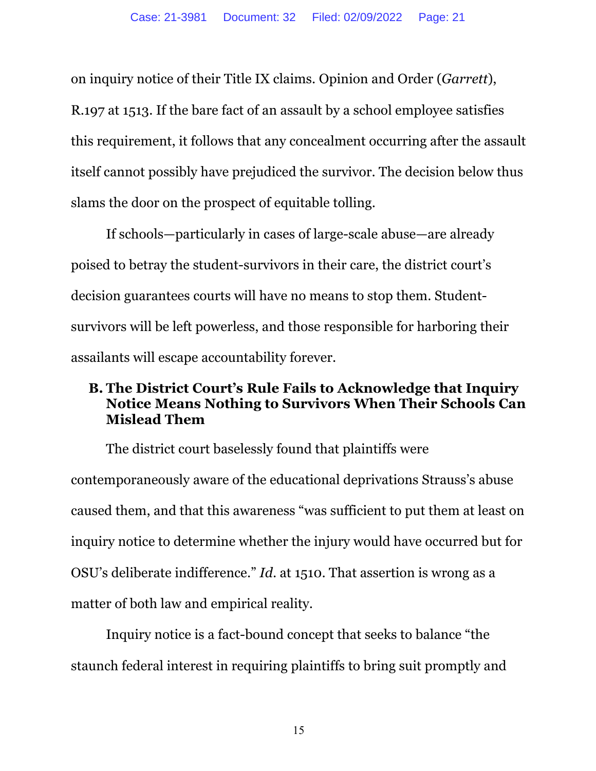on inquiry notice of their Title IX claims. Opinion and Order (*Garrett*), R.197 at 1513. If the bare fact of an assault by a school employee satisfies this requirement, it follows that any concealment occurring after the assault itself cannot possibly have prejudiced the survivor. The decision below thus slams the door on the prospect of equitable tolling.

If schools—particularly in cases of large-scale abuse—are already poised to betray the student-survivors in their care, the district court's decision guarantees courts will have no means to stop them. Studentsurvivors will be left powerless, and those responsible for harboring their assailants will escape accountability forever.

# **B. The District Court's Rule Fails to Acknowledge that Inquiry Notice Means Nothing to Survivors When Their Schools Can Mislead Them**

The district court baselessly found that plaintiffs were contemporaneously aware of the educational deprivations Strauss's abuse caused them, and that this awareness "was sufficient to put them at least on inquiry notice to determine whether the injury would have occurred but for OSU's deliberate indifference." *Id*. at 1510. That assertion is wrong as a matter of both law and empirical reality.

Inquiry notice is a fact-bound concept that seeks to balance "the staunch federal interest in requiring plaintiffs to bring suit promptly and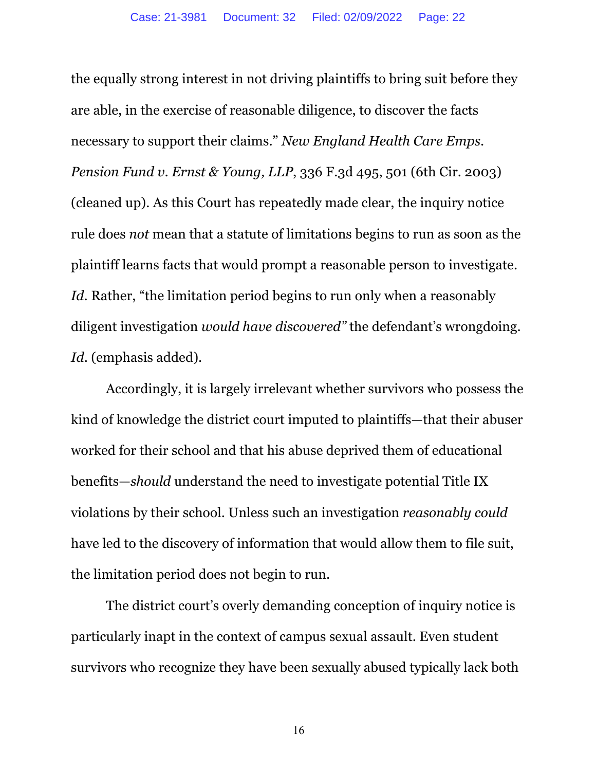the equally strong interest in not driving plaintiffs to bring suit before they are able, in the exercise of reasonable diligence, to discover the facts necessary to support their claims." *New England Health Care Emps. Pension Fund v. Ernst & Young, LLP*, 336 F.3d 495, 501 (6th Cir. 2003) (cleaned up). As this Court has repeatedly made clear, the inquiry notice rule does *not* mean that a statute of limitations begins to run as soon as the plaintiff learns facts that would prompt a reasonable person to investigate. *Id.* Rather, "the limitation period begins to run only when a reasonably diligent investigation *would have discovered"* the defendant's wrongdoing. *Id*. (emphasis added).

Accordingly, it is largely irrelevant whether survivors who possess the kind of knowledge the district court imputed to plaintiffs—that their abuser worked for their school and that his abuse deprived them of educational benefits—*should* understand the need to investigate potential Title IX violations by their school. Unless such an investigation *reasonably could*  have led to the discovery of information that would allow them to file suit, the limitation period does not begin to run.

The district court's overly demanding conception of inquiry notice is particularly inapt in the context of campus sexual assault. Even student survivors who recognize they have been sexually abused typically lack both

16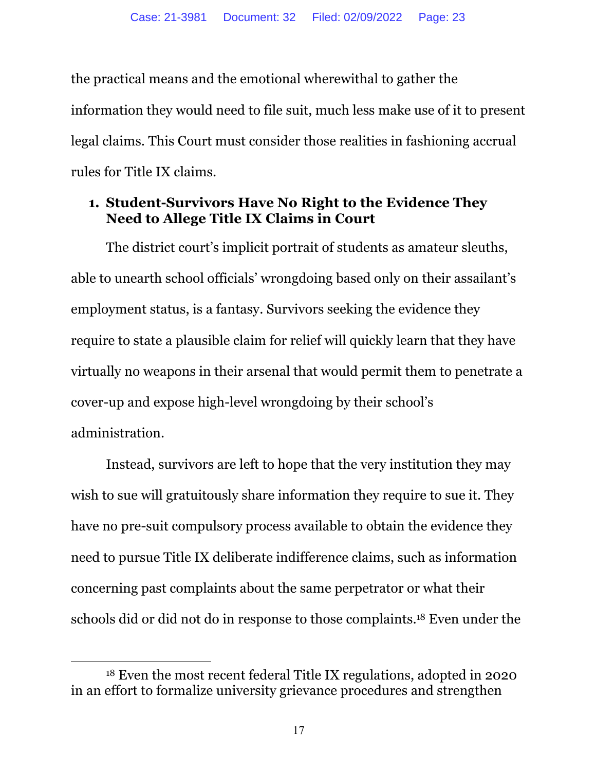the practical means and the emotional wherewithal to gather the information they would need to file suit, much less make use of it to present legal claims. This Court must consider those realities in fashioning accrual rules for Title IX claims.

# **1. Student-Survivors Have No Right to the Evidence They Need to Allege Title IX Claims in Court**

The district court's implicit portrait of students as amateur sleuths, able to unearth school officials' wrongdoing based only on their assailant's employment status, is a fantasy. Survivors seeking the evidence they require to state a plausible claim for relief will quickly learn that they have virtually no weapons in their arsenal that would permit them to penetrate a cover-up and expose high-level wrongdoing by their school's administration.

Instead, survivors are left to hope that the very institution they may wish to sue will gratuitously share information they require to sue it. They have no pre-suit compulsory process available to obtain the evidence they need to pursue Title IX deliberate indifference claims, such as information concerning past complaints about the same perpetrator or what their schools did or did not do in response to those complaints.18 Even under the

<sup>18</sup> Even the most recent federal Title IX regulations, adopted in 2020 in an effort to formalize university grievance procedures and strengthen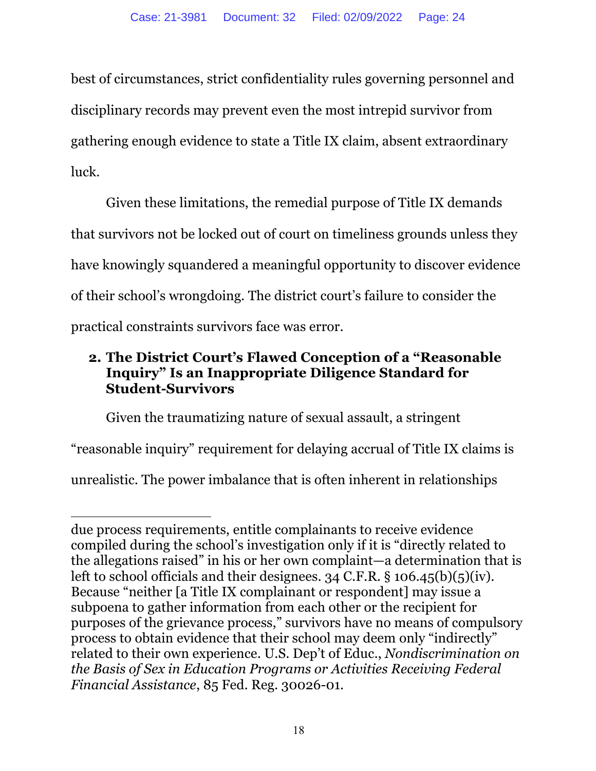best of circumstances, strict confidentiality rules governing personnel and disciplinary records may prevent even the most intrepid survivor from gathering enough evidence to state a Title IX claim, absent extraordinary luck.

Given these limitations, the remedial purpose of Title IX demands that survivors not be locked out of court on timeliness grounds unless they have knowingly squandered a meaningful opportunity to discover evidence of their school's wrongdoing. The district court's failure to consider the practical constraints survivors face was error.

# **2. The District Court's Flawed Conception of a "Reasonable Inquiry" Is an Inappropriate Diligence Standard for Student-Survivors**

Given the traumatizing nature of sexual assault, a stringent

"reasonable inquiry" requirement for delaying accrual of Title IX claims is unrealistic. The power imbalance that is often inherent in relationships

due process requirements, entitle complainants to receive evidence compiled during the school's investigation only if it is "directly related to the allegations raised" in his or her own complaint—a determination that is left to school officials and their designees. 34 C.F.R. § 106.45(b)(5)(iv). Because "neither [a Title IX complainant or respondent] may issue a subpoena to gather information from each other or the recipient for purposes of the grievance process," survivors have no means of compulsory process to obtain evidence that their school may deem only "indirectly" related to their own experience. U.S. Dep't of Educ., *Nondiscrimination on the Basis of Sex in Education Programs or Activities Receiving Federal Financial Assistance*, 85 Fed. Reg. 30026-01.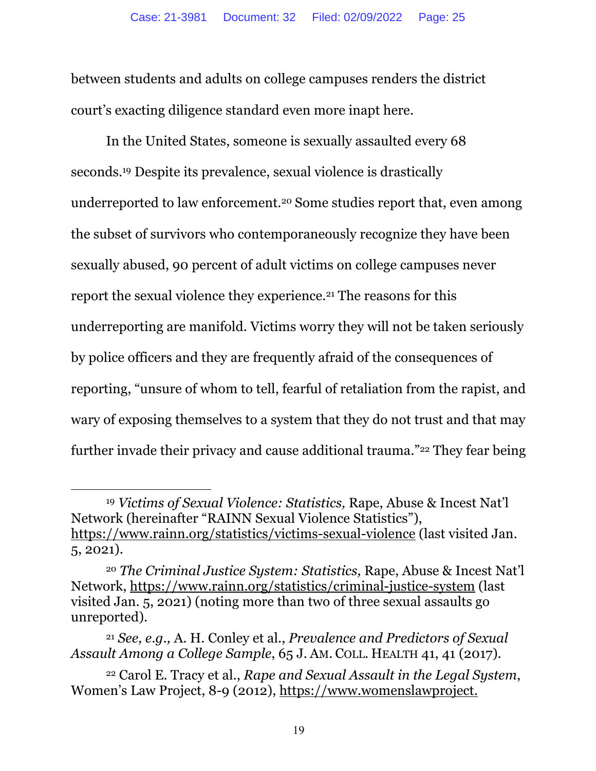between students and adults on college campuses renders the district court's exacting diligence standard even more inapt here.

In the United States, someone is sexually assaulted every 68 seconds.19 Despite its prevalence, sexual violence is drastically underreported to law enforcement.20 Some studies report that, even among the subset of survivors who contemporaneously recognize they have been sexually abused, 90 percent of adult victims on college campuses never report the sexual violence they experience.21 The reasons for this underreporting are manifold. Victims worry they will not be taken seriously by police officers and they are frequently afraid of the consequences of reporting, "unsure of whom to tell, fearful of retaliation from the rapist, and wary of exposing themselves to a system that they do not trust and that may further invade their privacy and cause additional trauma."22 They fear being

<sup>19</sup> *Victims of Sexual Violence: Statistics,* Rape, Abuse & Incest Nat'l Network (hereinafter "RAINN Sexual Violence Statistics"), https://www.rainn.org/statistics/victims-sexual-violence (last visited Jan. 5, 2021).

<sup>20</sup> *The Criminal Justice System: Statistics,* Rape, Abuse & Incest Nat'l Network, https://www.rainn.org/statistics/criminal-justice-system (last visited Jan. 5, 2021) (noting more than two of three sexual assaults go unreported).

<sup>21</sup> *See, e.g.,* A. H. Conley et al., *Prevalence and Predictors of Sexual Assault Among a College Sample*, 65 J. AM. COLL. HEALTH 41, 41 (2017).

<sup>22</sup> Carol E. Tracy et al., *Rape and Sexual Assault in the Legal System*, Women's Law Project, 8-9 (2012), https://www.womenslawproject.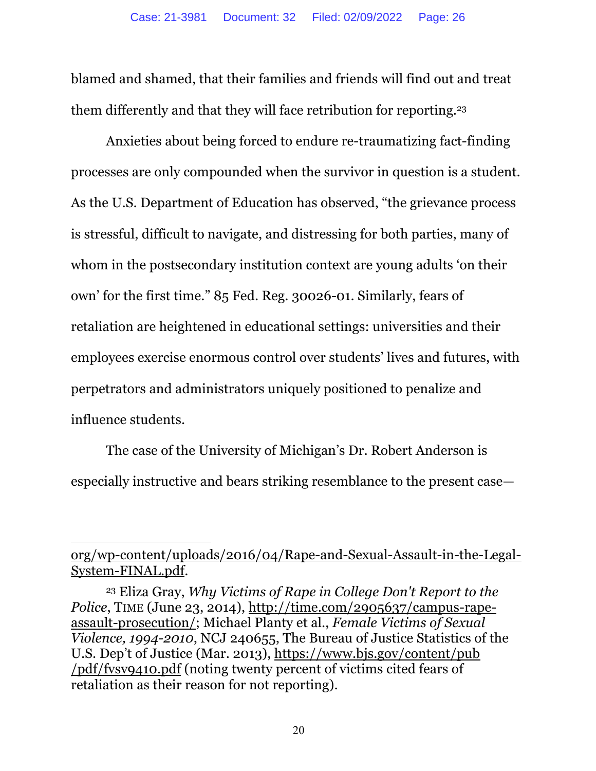blamed and shamed, that their families and friends will find out and treat them differently and that they will face retribution for reporting.23

Anxieties about being forced to endure re-traumatizing fact-finding processes are only compounded when the survivor in question is a student. As the U.S. Department of Education has observed, "the grievance process is stressful, difficult to navigate, and distressing for both parties, many of whom in the postsecondary institution context are young adults 'on their own' for the first time." 85 Fed. Reg. 30026-01. Similarly, fears of retaliation are heightened in educational settings: universities and their employees exercise enormous control over students' lives and futures, with perpetrators and administrators uniquely positioned to penalize and influence students.

The case of the University of Michigan's Dr. Robert Anderson is especially instructive and bears striking resemblance to the present case—

org/wp-content/uploads/2016/04/Rape-and-Sexual-Assault-in-the-Legal-System-FINAL.pdf.

<sup>23</sup> Eliza Gray, *Why Victims of Rape in College Don't Report to the Police*, TIME (June 23, 2014), http://time.com/2905637/campus-rapeassault-prosecution/; Michael Planty et al., *Female Victims of Sexual Violence, 1994-2010*, NCJ 240655, The Bureau of Justice Statistics of the U.S. Dep't of Justice (Mar. 2013), https://www.bjs.gov/content/pub /pdf/fvsv9410.pdf (noting twenty percent of victims cited fears of retaliation as their reason for not reporting).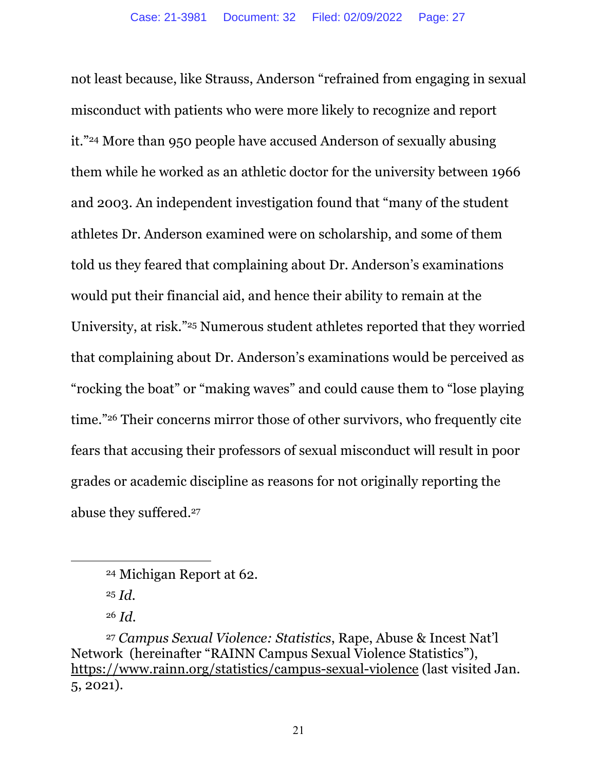not least because, like Strauss, Anderson "refrained from engaging in sexual misconduct with patients who were more likely to recognize and report it."24 More than 950 people have accused Anderson of sexually abusing them while he worked as an athletic doctor for the university between 1966 and 2003. An independent investigation found that "many of the student athletes Dr. Anderson examined were on scholarship, and some of them told us they feared that complaining about Dr. Anderson's examinations would put their financial aid, and hence their ability to remain at the University, at risk."25 Numerous student athletes reported that they worried that complaining about Dr. Anderson's examinations would be perceived as "rocking the boat" or "making waves" and could cause them to "lose playing time."26 Their concerns mirror those of other survivors, who frequently cite fears that accusing their professors of sexual misconduct will result in poor grades or academic discipline as reasons for not originally reporting the abuse they suffered.27

<sup>24</sup> Michigan Report at 62.

<sup>25</sup> *Id.*

<sup>26</sup> *Id.*

<sup>27</sup> *Campus Sexual Violence: Statistics*, Rape, Abuse & Incest Nat'l Network (hereinafter "RAINN Campus Sexual Violence Statistics"), https://www.rainn.org/statistics/campus-sexual-violence (last visited Jan. 5, 2021).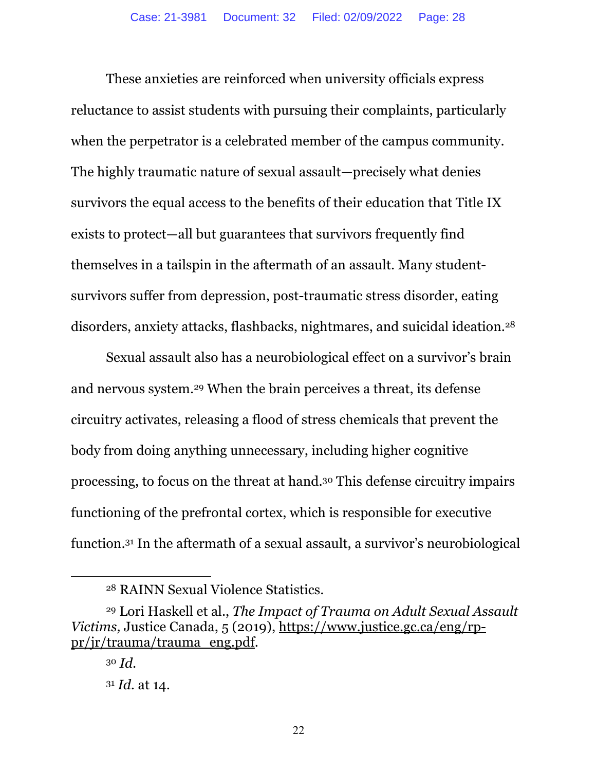These anxieties are reinforced when university officials express reluctance to assist students with pursuing their complaints, particularly when the perpetrator is a celebrated member of the campus community. The highly traumatic nature of sexual assault—precisely what denies survivors the equal access to the benefits of their education that Title IX exists to protect—all but guarantees that survivors frequently find themselves in a tailspin in the aftermath of an assault. Many studentsurvivors suffer from depression, post-traumatic stress disorder, eating disorders, anxiety attacks, flashbacks, nightmares, and suicidal ideation.<sup>28</sup>

Sexual assault also has a neurobiological effect on a survivor's brain and nervous system.29 When the brain perceives a threat, its defense circuitry activates, releasing a flood of stress chemicals that prevent the body from doing anything unnecessary, including higher cognitive processing, to focus on the threat at hand.30 This defense circuitry impairs functioning of the prefrontal cortex, which is responsible for executive function.31 In the aftermath of a sexual assault, a survivor's neurobiological

<sup>28</sup> RAINN Sexual Violence Statistics.

<sup>29</sup> Lori Haskell et al., *The Impact of Trauma on Adult Sexual Assault Victims,* Justice Canada, 5 (2019), https://www.justice.gc.ca/eng/rppr/jr/trauma/trauma\_eng.pdf.

<sup>30</sup> *Id.* <sup>31</sup> *Id.* at 14.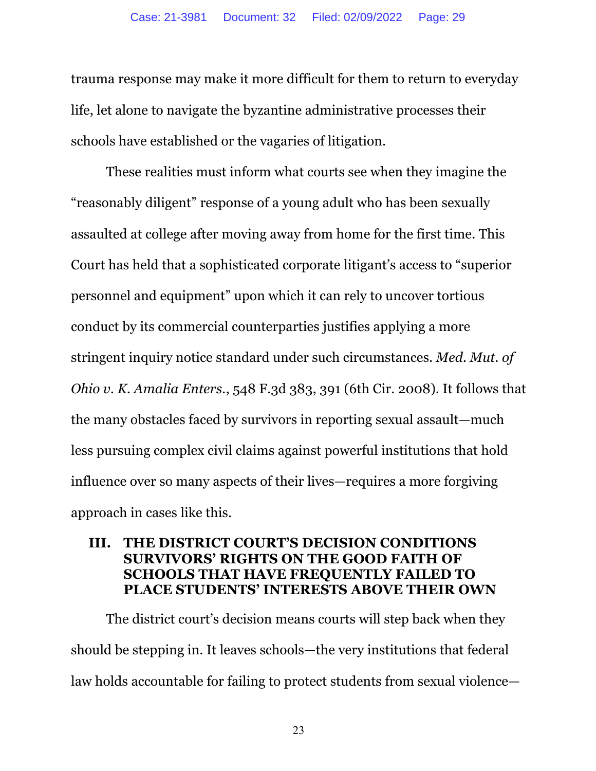trauma response may make it more difficult for them to return to everyday life, let alone to navigate the byzantine administrative processes their schools have established or the vagaries of litigation.

These realities must inform what courts see when they imagine the "reasonably diligent" response of a young adult who has been sexually assaulted at college after moving away from home for the first time. This Court has held that a sophisticated corporate litigant's access to "superior personnel and equipment" upon which it can rely to uncover tortious conduct by its commercial counterparties justifies applying a more stringent inquiry notice standard under such circumstances. *Med. Mut. of Ohio v. K. Amalia Enters.*, 548 F.3d 383, 391 (6th Cir. 2008). It follows that the many obstacles faced by survivors in reporting sexual assault—much less pursuing complex civil claims against powerful institutions that hold influence over so many aspects of their lives—requires a more forgiving approach in cases like this.

#### **III. THE DISTRICT COURT'S DECISION CONDITIONS SURVIVORS' RIGHTS ON THE GOOD FAITH OF SCHOOLS THAT HAVE FREQUENTLY FAILED TO PLACE STUDENTS' INTERESTS ABOVE THEIR OWN**

The district court's decision means courts will step back when they should be stepping in. It leaves schools—the very institutions that federal law holds accountable for failing to protect students from sexual violence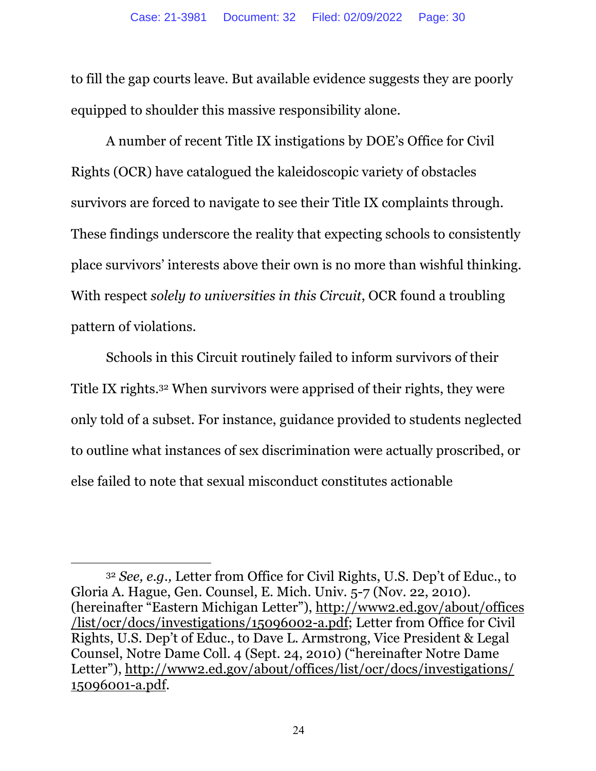to fill the gap courts leave. But available evidence suggests they are poorly equipped to shoulder this massive responsibility alone.

A number of recent Title IX instigations by DOE's Office for Civil Rights (OCR) have catalogued the kaleidoscopic variety of obstacles survivors are forced to navigate to see their Title IX complaints through. These findings underscore the reality that expecting schools to consistently place survivors' interests above their own is no more than wishful thinking. With respect *solely to universities in this Circuit*, OCR found a troubling pattern of violations.

Schools in this Circuit routinely failed to inform survivors of their Title IX rights.32 When survivors were apprised of their rights, they were only told of a subset. For instance, guidance provided to students neglected to outline what instances of sex discrimination were actually proscribed, or else failed to note that sexual misconduct constitutes actionable

<sup>32</sup> *See, e.g.,* Letter from Office for Civil Rights, U.S. Dep't of Educ., to Gloria A. Hague, Gen. Counsel, E. Mich. Univ. 5-7 (Nov. 22, 2010). (hereinafter "Eastern Michigan Letter"), http://www2.ed.gov/about/offices /list/ocr/docs/investigations/15096002-a.pdf; Letter from Office for Civil Rights, U.S. Dep't of Educ., to Dave L. Armstrong, Vice President & Legal Counsel, Notre Dame Coll. 4 (Sept. 24, 2010) ("hereinafter Notre Dame Letter"), http://www2.ed.gov/about/offices/list/ocr/docs/investigations/ 15096001-a.pdf.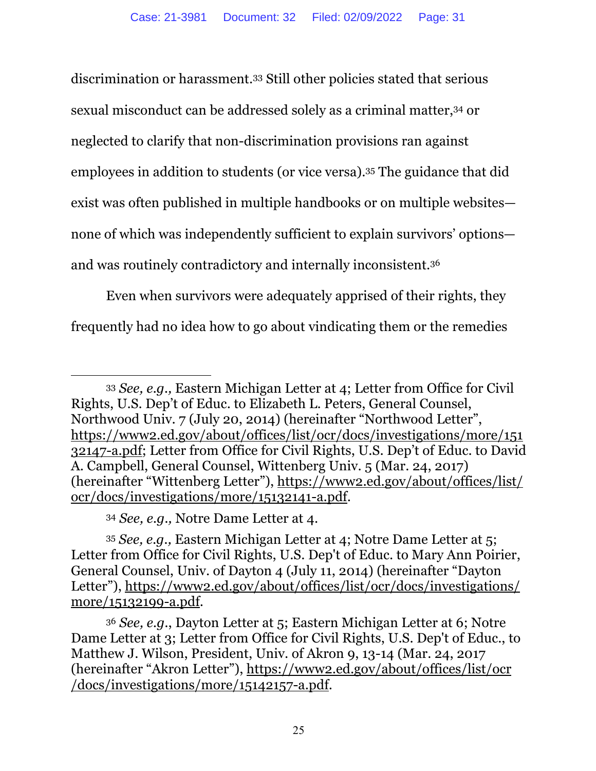discrimination or harassment.33 Still other policies stated that serious sexual misconduct can be addressed solely as a criminal matter,34 or neglected to clarify that non-discrimination provisions ran against employees in addition to students (or vice versa).35 The guidance that did exist was often published in multiple handbooks or on multiple websites none of which was independently sufficient to explain survivors' options and was routinely contradictory and internally inconsistent.36

Even when survivors were adequately apprised of their rights, they frequently had no idea how to go about vindicating them or the remedies

<sup>33</sup> *See, e.g.,* Eastern Michigan Letter at 4; Letter from Office for Civil Rights, U.S. Dep't of Educ. to Elizabeth L. Peters, General Counsel, Northwood Univ. 7 (July 20, 2014) (hereinafter "Northwood Letter", https://www2.ed.gov/about/offices/list/ocr/docs/investigations/more/151 32147-a.pdf; Letter from Office for Civil Rights, U.S. Dep't of Educ. to David A. Campbell, General Counsel, Wittenberg Univ. 5 (Mar. 24, 2017) (hereinafter "Wittenberg Letter"), https://www2.ed.gov/about/offices/list/ ocr/docs/investigations/more/15132141-a.pdf.

<sup>34</sup> *See, e.g.,* Notre Dame Letter at 4.

<sup>35</sup> *See, e.g.,* Eastern Michigan Letter at 4; Notre Dame Letter at 5; Letter from Office for Civil Rights, U.S. Dep't of Educ. to Mary Ann Poirier, General Counsel, Univ. of Dayton 4 (July 11, 2014) (hereinafter "Dayton Letter"), https://www2.ed.gov/about/offices/list/ocr/docs/investigations/ more/15132199-a.pdf.

<sup>36</sup> *See, e.g.*, Dayton Letter at 5; Eastern Michigan Letter at 6; Notre Dame Letter at 3; Letter from Office for Civil Rights, U.S. Dep't of Educ., to Matthew J. Wilson, President, Univ. of Akron 9, 13-14 (Mar. 24, 2017 (hereinafter "Akron Letter"), https://www2.ed.gov/about/offices/list/ocr /docs/investigations/more/15142157-a.pdf.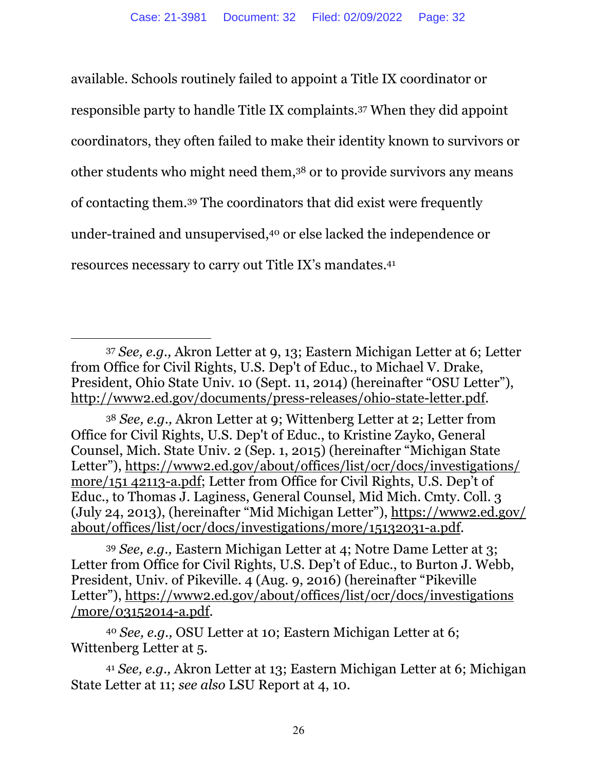available. Schools routinely failed to appoint a Title IX coordinator or responsible party to handle Title IX complaints.37 When they did appoint coordinators, they often failed to make their identity known to survivors or other students who might need them,38 or to provide survivors any means of contacting them.39 The coordinators that did exist were frequently under-trained and unsupervised,40 or else lacked the independence or resources necessary to carry out Title IX's mandates.41

<sup>38</sup> *See, e.g.,* Akron Letter at 9; Wittenberg Letter at 2; Letter from Office for Civil Rights, U.S. Dep't of Educ., to Kristine Zayko, General Counsel, Mich. State Univ. 2 (Sep. 1, 2015) (hereinafter "Michigan State Letter"), https://www2.ed.gov/about/offices/list/ocr/docs/investigations/ more/151 42113-a.pdf; Letter from Office for Civil Rights, U.S. Dep't of Educ., to Thomas J. Laginess, General Counsel, Mid Mich. Cmty. Coll. 3 (July 24, 2013), (hereinafter "Mid Michigan Letter"), https://www2.ed.gov/ about/offices/list/ocr/docs/investigations/more/15132031-a.pdf.

<sup>39</sup> *See, e.g.,* Eastern Michigan Letter at 4; Notre Dame Letter at 3; Letter from Office for Civil Rights, U.S. Dep't of Educ., to Burton J. Webb, President, Univ. of Pikeville. 4 (Aug. 9, 2016) (hereinafter "Pikeville Letter"), https://www2.ed.gov/about/offices/list/ocr/docs/investigations /more/03152014-a.pdf.

<sup>40</sup> *See, e.g.,* OSU Letter at 10; Eastern Michigan Letter at 6; Wittenberg Letter at 5.

<sup>41</sup> *See, e.g.,* Akron Letter at 13; Eastern Michigan Letter at 6; Michigan State Letter at 11; *see also* LSU Report at 4, 10.

<sup>37</sup> *See, e.g.,* Akron Letter at 9, 13; Eastern Michigan Letter at 6; Letter from Office for Civil Rights, U.S. Dep't of Educ., to Michael V. Drake, President, Ohio State Univ. 10 (Sept. 11, 2014) (hereinafter "OSU Letter"), http://www2.ed.gov/documents/press-releases/ohio-state-letter.pdf.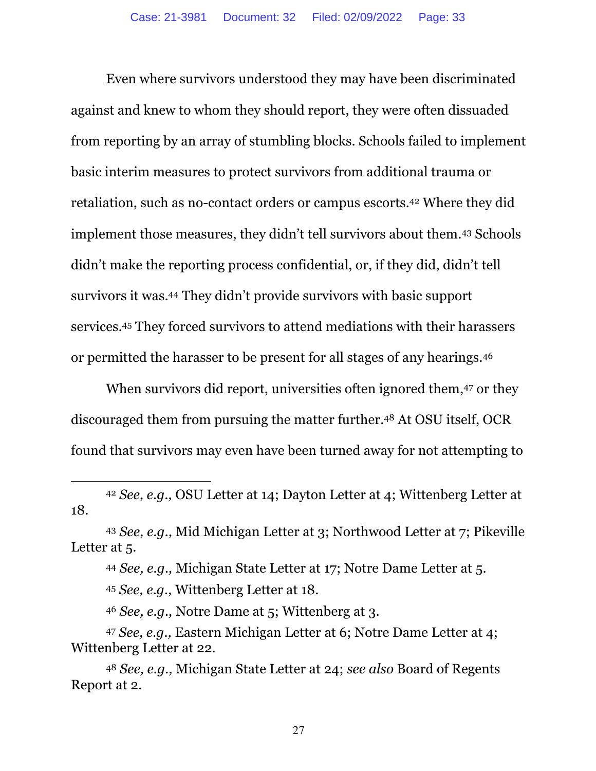Even where survivors understood they may have been discriminated against and knew to whom they should report, they were often dissuaded from reporting by an array of stumbling blocks. Schools failed to implement basic interim measures to protect survivors from additional trauma or retaliation, such as no-contact orders or campus escorts.42 Where they did implement those measures, they didn't tell survivors about them.43 Schools didn't make the reporting process confidential, or, if they did, didn't tell survivors it was.44 They didn't provide survivors with basic support services.45 They forced survivors to attend mediations with their harassers or permitted the harasser to be present for all stages of any hearings.46

When survivors did report, universities often ignored them, <sup>47</sup> or they discouraged them from pursuing the matter further.48 At OSU itself, OCR found that survivors may even have been turned away for not attempting to

<sup>43</sup> *See, e.g.,* Mid Michigan Letter at 3; Northwood Letter at 7; Pikeville Letter at 5.

<sup>44</sup> *See, e.g.,* Michigan State Letter at 17; Notre Dame Letter at 5.

<sup>45</sup> *See, e.g.,* Wittenberg Letter at 18.

<sup>46</sup> *See, e.g.,* Notre Dame at 5; Wittenberg at 3.

<sup>47</sup> *See, e.g.,* Eastern Michigan Letter at 6; Notre Dame Letter at 4; Wittenberg Letter at 22.

<sup>48</sup> *See, e.g.,* Michigan State Letter at 24; *see also* Board of Regents Report at 2.

<sup>42</sup> *See, e.g.,* OSU Letter at 14; Dayton Letter at 4; Wittenberg Letter at 18.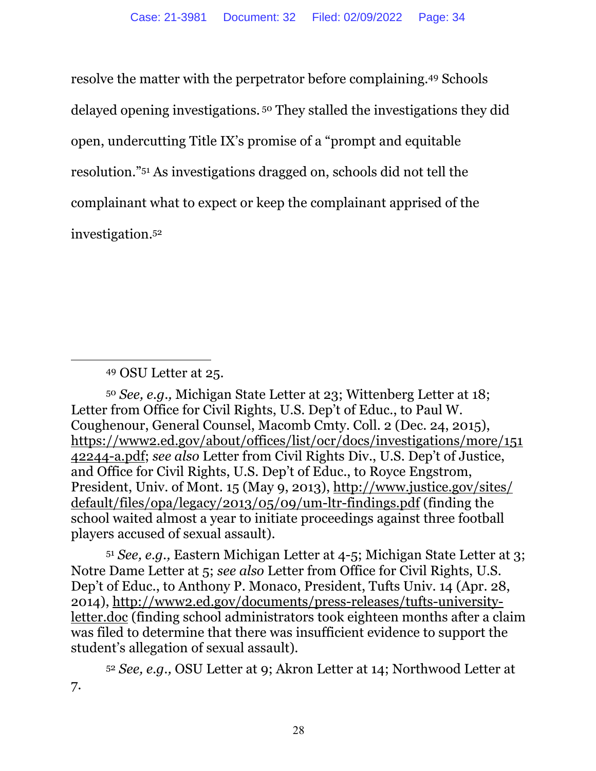resolve the matter with the perpetrator before complaining.49 Schools delayed opening investigations. <sup>50</sup> They stalled the investigations they did open, undercutting Title IX's promise of a "prompt and equitable resolution."51 As investigations dragged on, schools did not tell the complainant what to expect or keep the complainant apprised of the investigation.52

<sup>50</sup> *See, e.g.,* Michigan State Letter at 23; Wittenberg Letter at 18; Letter from Office for Civil Rights, U.S. Dep't of Educ., to Paul W. Coughenour, General Counsel, Macomb Cmty. Coll. 2 (Dec. 24, 2015), https://www2.ed.gov/about/offices/list/ocr/docs/investigations/more/151 42244-a.pdf; *see also* Letter from Civil Rights Div., U.S. Dep't of Justice, and Office for Civil Rights, U.S. Dep't of Educ., to Royce Engstrom, President, Univ. of Mont. 15 (May 9, 2013), http://www.justice.gov/sites/ default/files/opa/legacy/2013/05/09/um-ltr-findings.pdf (finding the school waited almost a year to initiate proceedings against three football players accused of sexual assault).

<sup>51</sup> *See, e.g.,* Eastern Michigan Letter at 4-5; Michigan State Letter at 3; Notre Dame Letter at 5; *see also* Letter from Office for Civil Rights, U.S. Dep't of Educ., to Anthony P. Monaco, President, Tufts Univ. 14 (Apr. 28, 2014), http://www2.ed.gov/documents/press-releases/tufts-universityletter.doc (finding school administrators took eighteen months after a claim was filed to determine that there was insufficient evidence to support the student's allegation of sexual assault).

<sup>52</sup> *See, e.g.,* OSU Letter at 9; Akron Letter at 14; Northwood Letter at 7.

<sup>49</sup> OSU Letter at 25.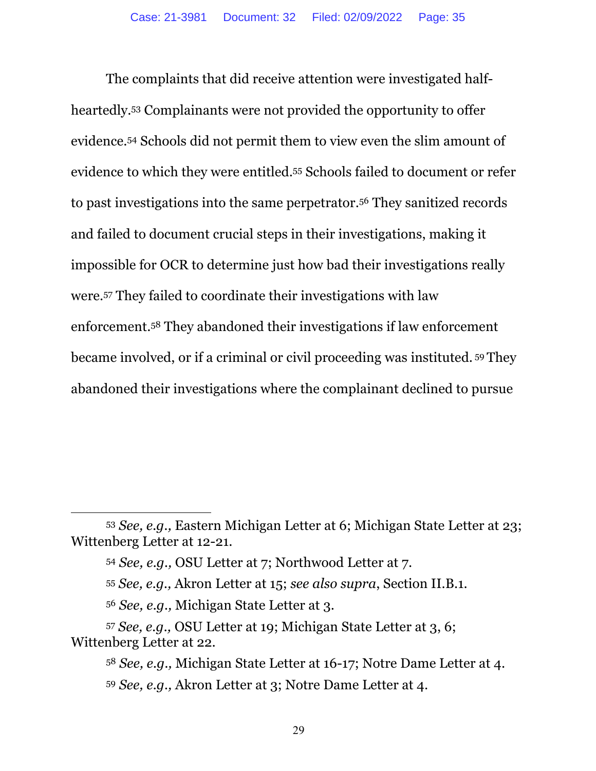The complaints that did receive attention were investigated halfheartedly.53 Complainants were not provided the opportunity to offer evidence.54 Schools did not permit them to view even the slim amount of evidence to which they were entitled.55 Schools failed to document or refer to past investigations into the same perpetrator.56 They sanitized records and failed to document crucial steps in their investigations, making it impossible for OCR to determine just how bad their investigations really were.57 They failed to coordinate their investigations with law enforcement.58 They abandoned their investigations if law enforcement became involved, or if a criminal or civil proceeding was instituted. <sup>59</sup> They abandoned their investigations where the complainant declined to pursue

<sup>53</sup> *See, e.g.,* Eastern Michigan Letter at 6; Michigan State Letter at 23; Wittenberg Letter at 12-21.

<sup>54</sup> *See, e.g.,* OSU Letter at 7; Northwood Letter at 7.

<sup>55</sup> *See, e.g.,* Akron Letter at 15; *see also supra*, Section II.B.1.

<sup>56</sup> *See, e.g.,* Michigan State Letter at 3.

<sup>57</sup> *See, e.g.,* OSU Letter at 19; Michigan State Letter at 3, 6; Wittenberg Letter at 22.

<sup>58</sup> *See, e.g.,* Michigan State Letter at 16-17; Notre Dame Letter at 4. <sup>59</sup> *See, e.g.,* Akron Letter at 3; Notre Dame Letter at 4.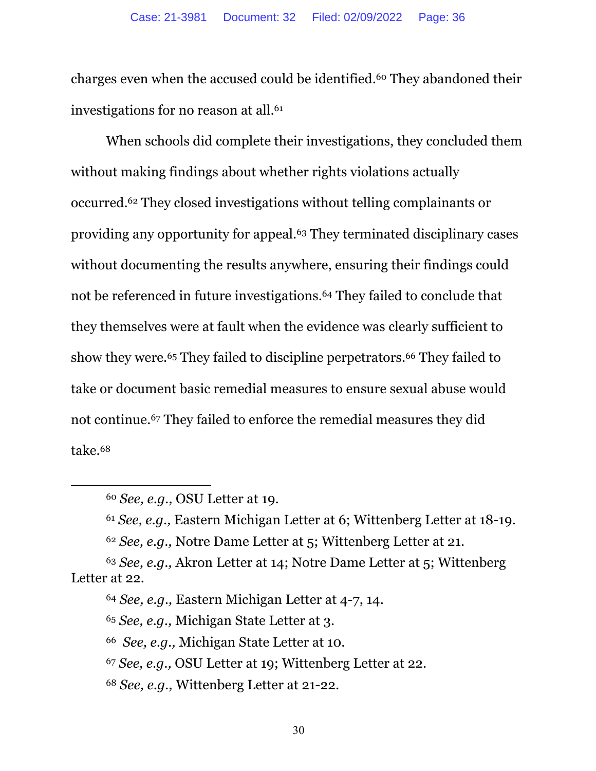charges even when the accused could be identified.60 They abandoned their investigations for no reason at all.<sup>61</sup>

When schools did complete their investigations, they concluded them without making findings about whether rights violations actually occurred.62 They closed investigations without telling complainants or providing any opportunity for appeal.63 They terminated disciplinary cases without documenting the results anywhere, ensuring their findings could not be referenced in future investigations.64 They failed to conclude that they themselves were at fault when the evidence was clearly sufficient to show they were.<sup>65</sup> They failed to discipline perpetrators.<sup>66</sup> They failed to take or document basic remedial measures to ensure sexual abuse would not continue.67 They failed to enforce the remedial measures they did take.68

- <sup>67</sup> *See, e.g.,* OSU Letter at 19; Wittenberg Letter at 22.
- <sup>68</sup> *See, e.g.,* Wittenberg Letter at 21-22.

<sup>60</sup> *See, e.g.,* OSU Letter at 19.

<sup>61</sup> *See, e.g.,* Eastern Michigan Letter at 6; Wittenberg Letter at 18-19.

<sup>62</sup> *See, e.g.,* Notre Dame Letter at 5; Wittenberg Letter at 21.

<sup>63</sup> *See, e.g.,* Akron Letter at 14; Notre Dame Letter at 5; Wittenberg Letter at 22.

<sup>64</sup> *See, e.g.,* Eastern Michigan Letter at 4-7, 14.

<sup>65</sup> *See, e.g.,* Michigan State Letter at 3.

<sup>66</sup> *See, e.g.,* Michigan State Letter at 10.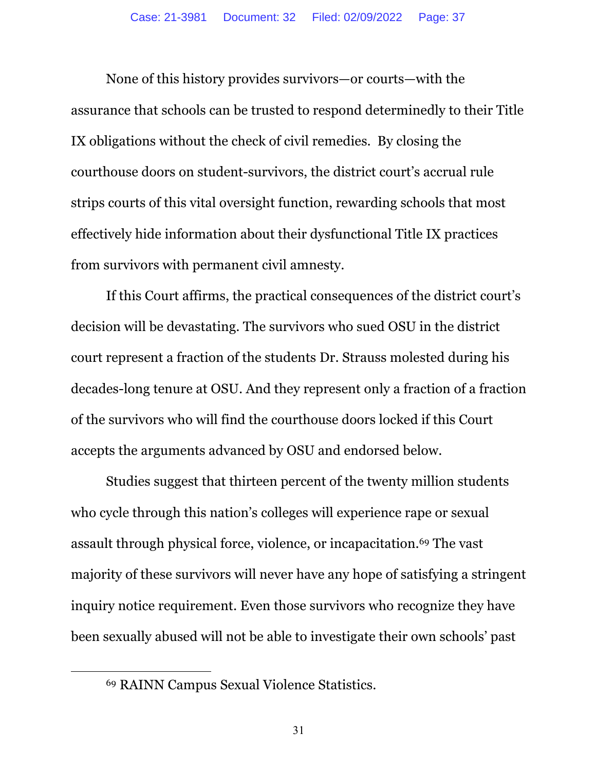None of this history provides survivors—or courts—with the assurance that schools can be trusted to respond determinedly to their Title IX obligations without the check of civil remedies. By closing the courthouse doors on student-survivors, the district court's accrual rule strips courts of this vital oversight function, rewarding schools that most effectively hide information about their dysfunctional Title IX practices from survivors with permanent civil amnesty.

If this Court affirms, the practical consequences of the district court's decision will be devastating. The survivors who sued OSU in the district court represent a fraction of the students Dr. Strauss molested during his decades-long tenure at OSU. And they represent only a fraction of a fraction of the survivors who will find the courthouse doors locked if this Court accepts the arguments advanced by OSU and endorsed below.

Studies suggest that thirteen percent of the twenty million students who cycle through this nation's colleges will experience rape or sexual assault through physical force, violence, or incapacitation.69 The vast majority of these survivors will never have any hope of satisfying a stringent inquiry notice requirement. Even those survivors who recognize they have been sexually abused will not be able to investigate their own schools' past

<sup>69</sup> RAINN Campus Sexual Violence Statistics.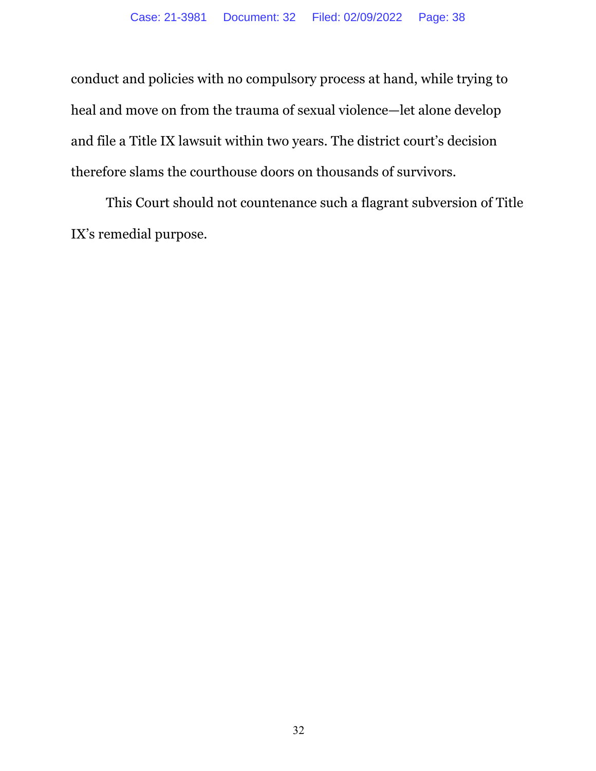conduct and policies with no compulsory process at hand, while trying to heal and move on from the trauma of sexual violence—let alone develop and file a Title IX lawsuit within two years. The district court's decision therefore slams the courthouse doors on thousands of survivors.

This Court should not countenance such a flagrant subversion of Title IX's remedial purpose.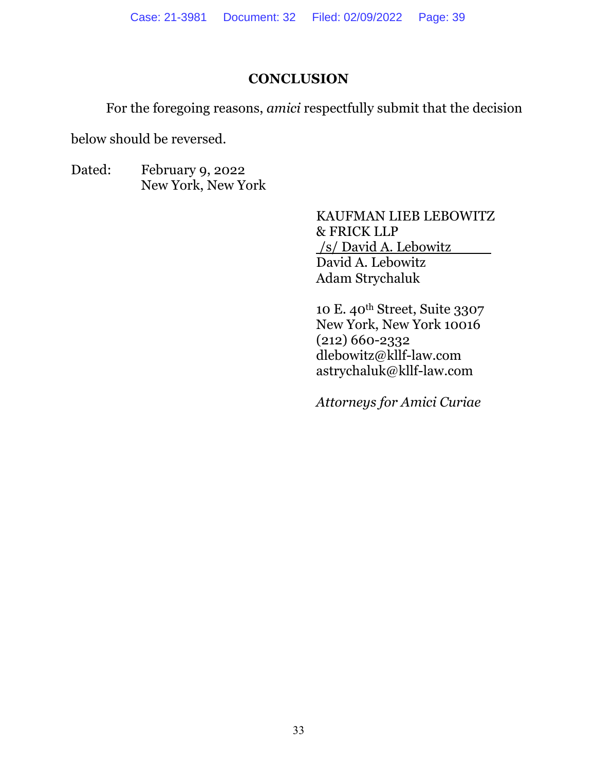# **CONCLUSION**

For the foregoing reasons, *amici* respectfully submit that the decision

below should be reversed.

Dated: February 9, 2022 New York, New York

> KAUFMAN LIEB LEBOWITZ & FRICK LLP /s/ David A. Lebowitz David A. Lebowitz Adam Strychaluk

10 E. 40th Street, Suite 3307 New York, New York 10016 (212) 660-2332 dlebowitz@kllf-law.com astrychaluk@kllf-law.com

*Attorneys for Amici Curiae*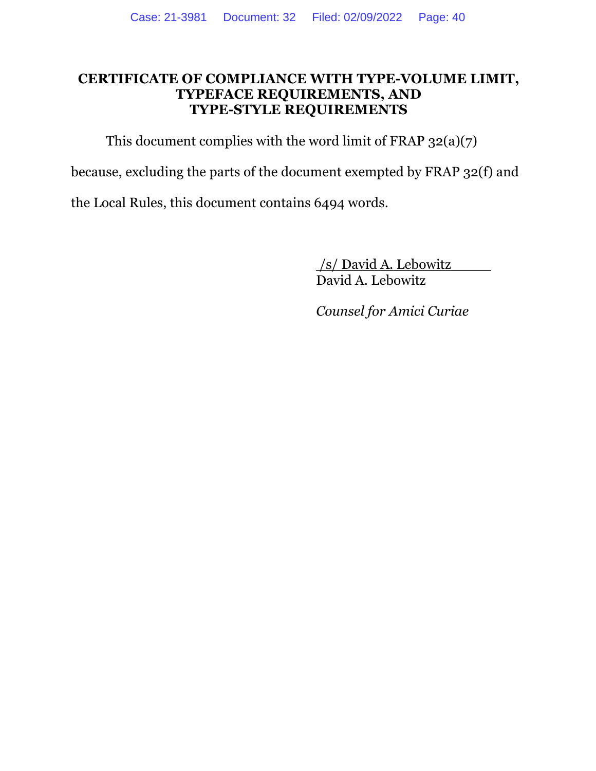#### **CERTIFICATE OF COMPLIANCE WITH TYPE-VOLUME LIMIT, TYPEFACE REQUIREMENTS, AND TYPE-STYLE REQUIREMENTS**

This document complies with the word limit of FRAP  $32(a)(7)$ 

because, excluding the parts of the document exempted by FRAP 32(f) and

the Local Rules, this document contains 6494 words.

/s/ David A. Lebowitz David A. Lebowitz

*Counsel for Amici Curiae*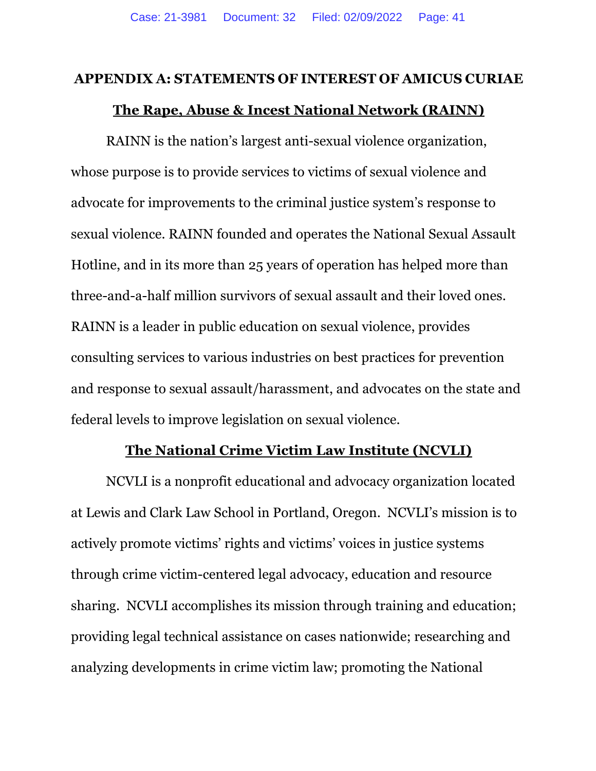#### **APPENDIX A: STATEMENTS OF INTEREST OF AMICUS CURIAE**

#### **The Rape, Abuse & Incest National Network (RAINN)**

RAINN is the nation's largest anti-sexual violence organization, whose purpose is to provide services to victims of sexual violence and advocate for improvements to the criminal justice system's response to sexual violence. RAINN founded and operates the National Sexual Assault Hotline, and in its more than 25 years of operation has helped more than three-and-a-half million survivors of sexual assault and their loved ones. RAINN is a leader in public education on sexual violence, provides consulting services to various industries on best practices for prevention and response to sexual assault/harassment, and advocates on the state and federal levels to improve legislation on sexual violence.

#### **The National Crime Victim Law Institute (NCVLI)**

NCVLI is a nonprofit educational and advocacy organization located at Lewis and Clark Law School in Portland, Oregon. NCVLI's mission is to actively promote victims' rights and victims' voices in justice systems through crime victim-centered legal advocacy, education and resource sharing. NCVLI accomplishes its mission through training and education; providing legal technical assistance on cases nationwide; researching and analyzing developments in crime victim law; promoting the National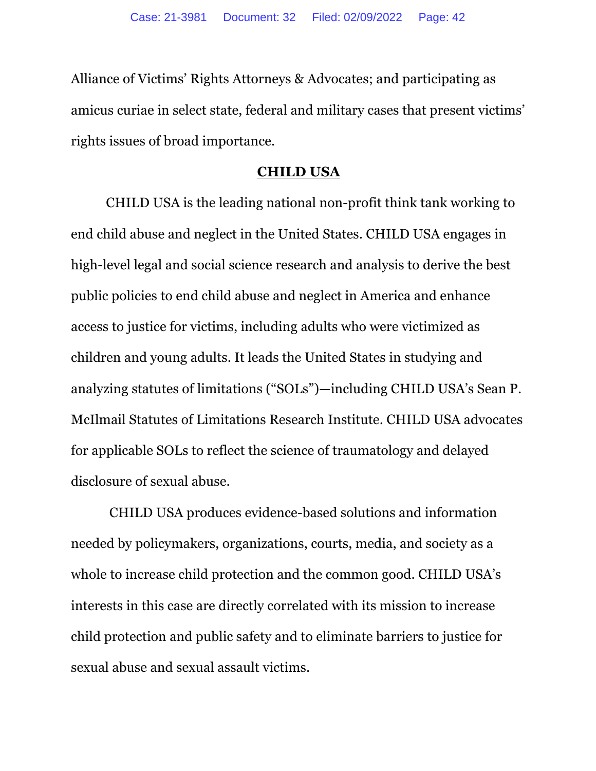Alliance of Victims' Rights Attorneys & Advocates; and participating as amicus curiae in select state, federal and military cases that present victims' rights issues of broad importance.

#### **CHILD USA**

CHILD USA is the leading national non-profit think tank working to end child abuse and neglect in the United States. CHILD USA engages in high-level legal and social science research and analysis to derive the best public policies to end child abuse and neglect in America and enhance access to justice for victims, including adults who were victimized as children and young adults. It leads the United States in studying and analyzing statutes of limitations ("SOLs")—including CHILD USA's Sean P. McIlmail Statutes of Limitations Research Institute. CHILD USA advocates for applicable SOLs to reflect the science of traumatology and delayed disclosure of sexual abuse.

CHILD USA produces evidence-based solutions and information needed by policymakers, organizations, courts, media, and society as a whole to increase child protection and the common good. CHILD USA's interests in this case are directly correlated with its mission to increase child protection and public safety and to eliminate barriers to justice for sexual abuse and sexual assault victims.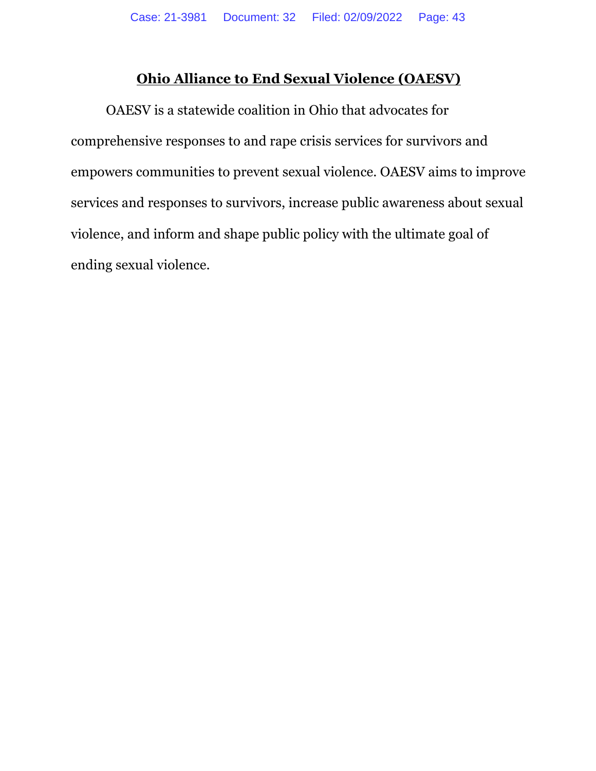# **Ohio Alliance to End Sexual Violence (OAESV)**

OAESV is a statewide coalition in Ohio that advocates for comprehensive responses to and rape crisis services for survivors and empowers communities to prevent sexual violence. OAESV aims to improve services and responses to survivors, increase public awareness about sexual violence, and inform and shape public policy with the ultimate goal of ending sexual violence.